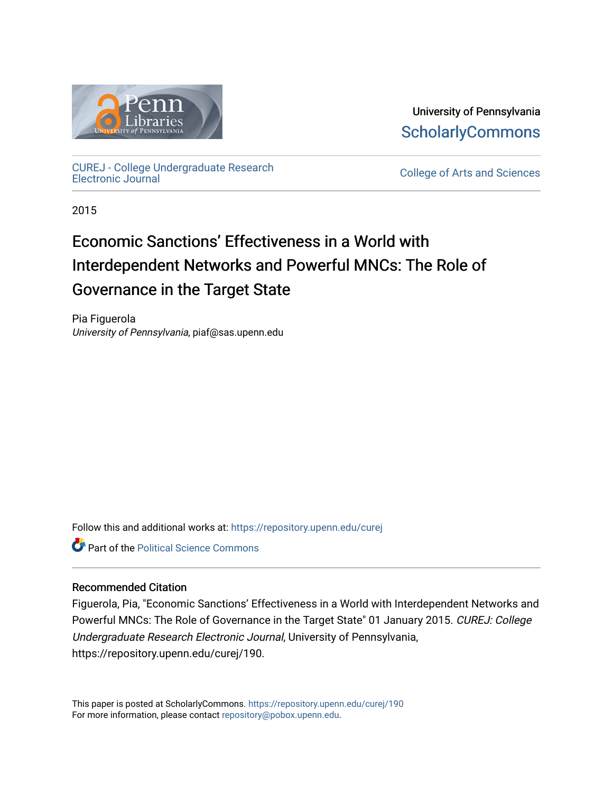

University of Pennsylvania **ScholarlyCommons** 

[CUREJ - College Undergraduate Research](https://repository.upenn.edu/curej) 

College of Arts and Sciences

2015

# Economic Sanctions' Effectiveness in a World with Interdependent Networks and Powerful MNCs: The Role of Governance in the Target State

Pia Figuerola University of Pennsylvania, piaf@sas.upenn.edu

Follow this and additional works at: [https://repository.upenn.edu/curej](https://repository.upenn.edu/curej?utm_source=repository.upenn.edu%2Fcurej%2F190&utm_medium=PDF&utm_campaign=PDFCoverPages)

**C** Part of the Political Science Commons

#### Recommended Citation

Figuerola, Pia, "Economic Sanctions' Effectiveness in a World with Interdependent Networks and Powerful MNCs: The Role of Governance in the Target State" 01 January 2015. CUREJ: College Undergraduate Research Electronic Journal, University of Pennsylvania, https://repository.upenn.edu/curej/190.

This paper is posted at ScholarlyCommons.<https://repository.upenn.edu/curej/190> For more information, please contact [repository@pobox.upenn.edu.](mailto:repository@pobox.upenn.edu)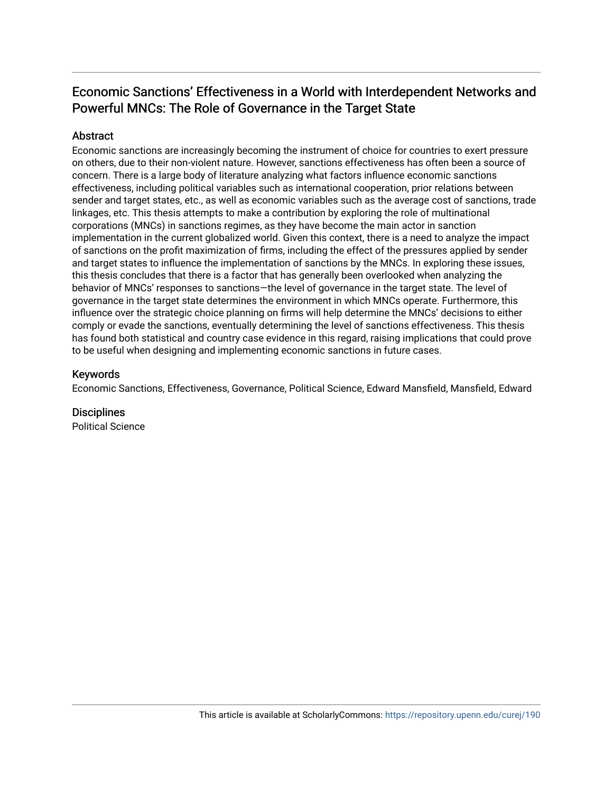## Economic Sanctions' Effectiveness in a World with Interdependent Networks and Powerful MNCs: The Role of Governance in the Target State

#### Abstract

Economic sanctions are increasingly becoming the instrument of choice for countries to exert pressure on others, due to their non-violent nature. However, sanctions effectiveness has often been a source of concern. There is a large body of literature analyzing what factors influence economic sanctions effectiveness, including political variables such as international cooperation, prior relations between sender and target states, etc., as well as economic variables such as the average cost of sanctions, trade linkages, etc. This thesis attempts to make a contribution by exploring the role of multinational corporations (MNCs) in sanctions regimes, as they have become the main actor in sanction implementation in the current globalized world. Given this context, there is a need to analyze the impact of sanctions on the profit maximization of firms, including the effect of the pressures applied by sender and target states to influence the implementation of sanctions by the MNCs. In exploring these issues, this thesis concludes that there is a factor that has generally been overlooked when analyzing the behavior of MNCs' responses to sanctions—the level of governance in the target state. The level of governance in the target state determines the environment in which MNCs operate. Furthermore, this influence over the strategic choice planning on firms will help determine the MNCs' decisions to either comply or evade the sanctions, eventually determining the level of sanctions effectiveness. This thesis has found both statistical and country case evidence in this regard, raising implications that could prove to be useful when designing and implementing economic sanctions in future cases.

#### Keywords

Economic Sanctions, Effectiveness, Governance, Political Science, Edward Mansfield, Mansfield, Edward

#### **Disciplines**

Political Science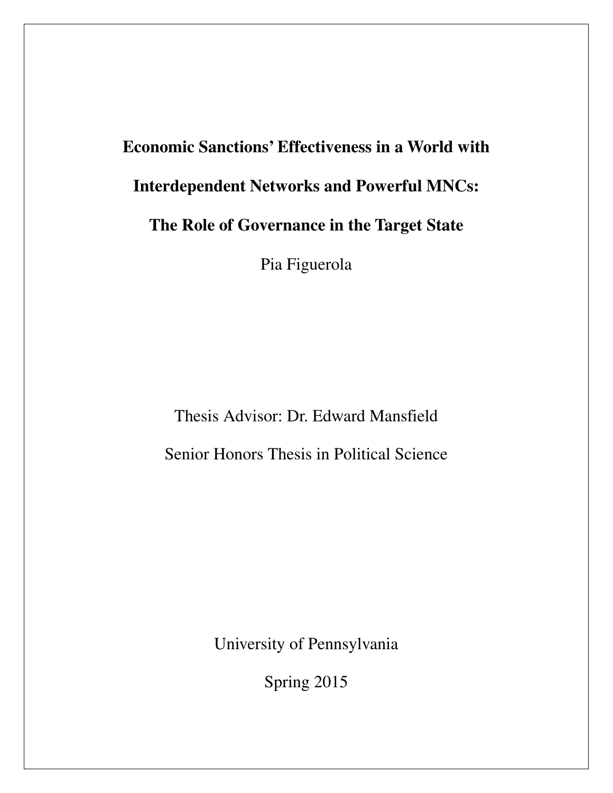# **Economic Sanctions' Effectiveness in a World with Interdependent Networks and Powerful MNCs: The Role of Governance in the Target State**  Pia Figuerola

Thesis Advisor: Dr. Edward Mansfield Senior Honors Thesis in Political Science

University of Pennsylvania

Spring 2015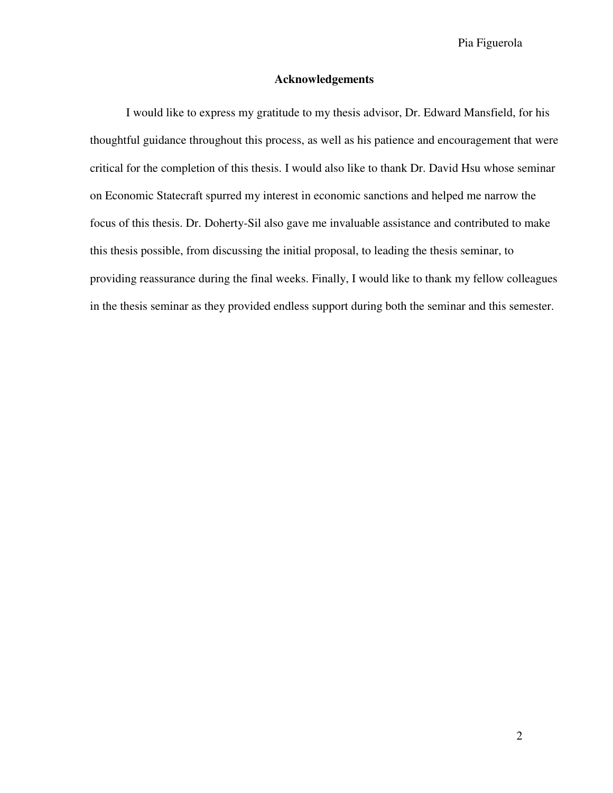#### **Acknowledgements**

 I would like to express my gratitude to my thesis advisor, Dr. Edward Mansfield, for his thoughtful guidance throughout this process, as well as his patience and encouragement that were critical for the completion of this thesis. I would also like to thank Dr. David Hsu whose seminar on Economic Statecraft spurred my interest in economic sanctions and helped me narrow the focus of this thesis. Dr. Doherty-Sil also gave me invaluable assistance and contributed to make this thesis possible, from discussing the initial proposal, to leading the thesis seminar, to providing reassurance during the final weeks. Finally, I would like to thank my fellow colleagues in the thesis seminar as they provided endless support during both the seminar and this semester.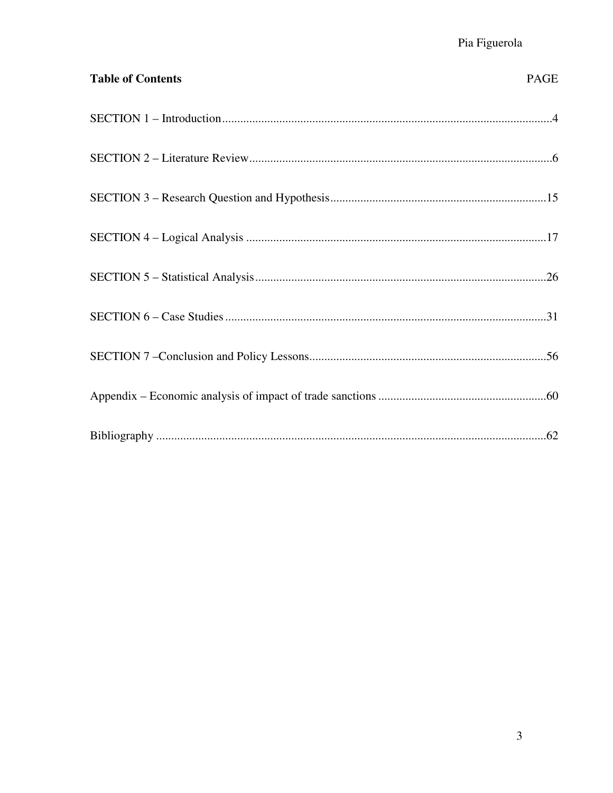| <b>Table of Contents</b> | PAGE |
|--------------------------|------|
|                          |      |
|                          |      |
|                          |      |
|                          |      |
|                          |      |
|                          |      |
|                          |      |
|                          |      |
|                          |      |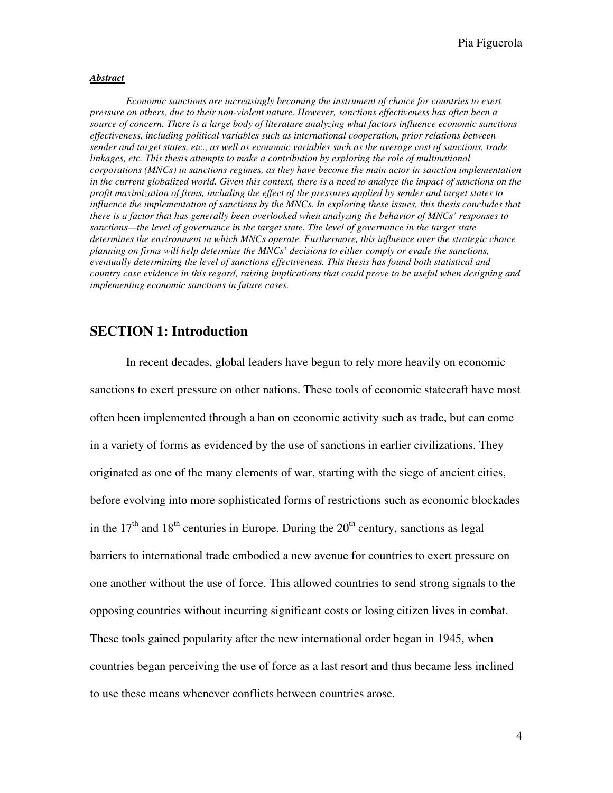#### *Abstract*

*Economic sanctions are increasingly becoming the instrument of choice for countries to exert pressure on others, due to their non-violent nature. However, sanctions effectiveness has often been a source of concern. Th*e*re is a large body of literature analyzing what factors influence economic sanctions effectiveness, including political variables such as international cooperation, prior relations between sender and target states, etc., as well as economic variables such as the average cost of sanctions, trade linkages, etc. This thesis attempts to make a contribution by exploring the role of multinational corporations (MNCs) in sanctions regimes, as they have become the main actor in sanction implementation in the current globalized world. Given this context, there is a need to analyze the impact of sanctions on the profit maximization of firms, including the effect of the pressures applied by sender and target states to influence the implementation of sanctions by the MNCs. In exploring these issues, this thesis concludes that there is a factor that has generally been overlooked when analyzing the behavior of MNCs' responses to sanctions—the level of governance in the target state. The level of governance in the target state determines the environment in which MNCs operate. Furthermore, this influence over the strategic choice planning on firms will help determine the MNCs' decisions to either comply or evade the sanctions, eventually determining the level of sanctions effectiveness. This thesis has found both statistical and country case evidence in this regard, raising implications that could prove to be useful when designing and implementing economic sanctions in future cases.* 

#### **SECTION 1: Introduction**

 In recent decades, global leaders have begun to rely more heavily on economic sanctions to exert pressure on other nations. These tools of economic statecraft have most often been implemented through a ban on economic activity such as trade, but can come in a variety of forms as evidenced by the use of sanctions in earlier civilizations. They originated as one of the many elements of war, starting with the siege of ancient cities, before evolving into more sophisticated forms of restrictions such as economic blockades in the  $17<sup>th</sup>$  and  $18<sup>th</sup>$  centuries in Europe. During the  $20<sup>th</sup>$  century, sanctions as legal barriers to international trade embodied a new avenue for countries to exert pressure on one another without the use of force. This allowed countries to send strong signals to the opposing countries without incurring significant costs or losing citizen lives in combat. These tools gained popularity after the new international order began in 1945, when countries began perceiving the use of force as a last resort and thus became less inclined to use these means whenever conflicts between countries arose.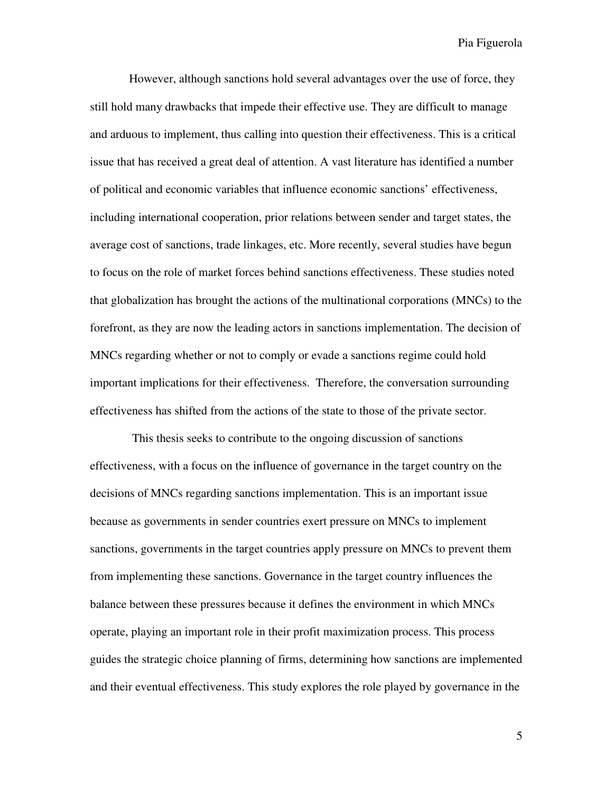However, although sanctions hold several advantages over the use of force, they still hold many drawbacks that impede their effective use. They are difficult to manage and arduous to implement, thus calling into question their effectiveness. This is a critical issue that has received a great deal of attention. A vast literature has identified a number of political and economic variables that influence economic sanctions' effectiveness, including international cooperation, prior relations between sender and target states, the average cost of sanctions, trade linkages, etc. More recently, several studies have begun to focus on the role of market forces behind sanctions effectiveness. These studies noted that globalization has brought the actions of the multinational corporations (MNCs) to the forefront, as they are now the leading actors in sanctions implementation. The decision of MNCs regarding whether or not to comply or evade a sanctions regime could hold important implications for their effectiveness. Therefore, the conversation surrounding effectiveness has shifted from the actions of the state to those of the private sector.

 This thesis seeks to contribute to the ongoing discussion of sanctions effectiveness, with a focus on the influence of governance in the target country on the decisions of MNCs regarding sanctions implementation. This is an important issue because as governments in sender countries exert pressure on MNCs to implement sanctions, governments in the target countries apply pressure on MNCs to prevent them from implementing these sanctions. Governance in the target country influences the balance between these pressures because it defines the environment in which MNCs operate, playing an important role in their profit maximization process. This process guides the strategic choice planning of firms, determining how sanctions are implemented and their eventual effectiveness. This study explores the role played by governance in the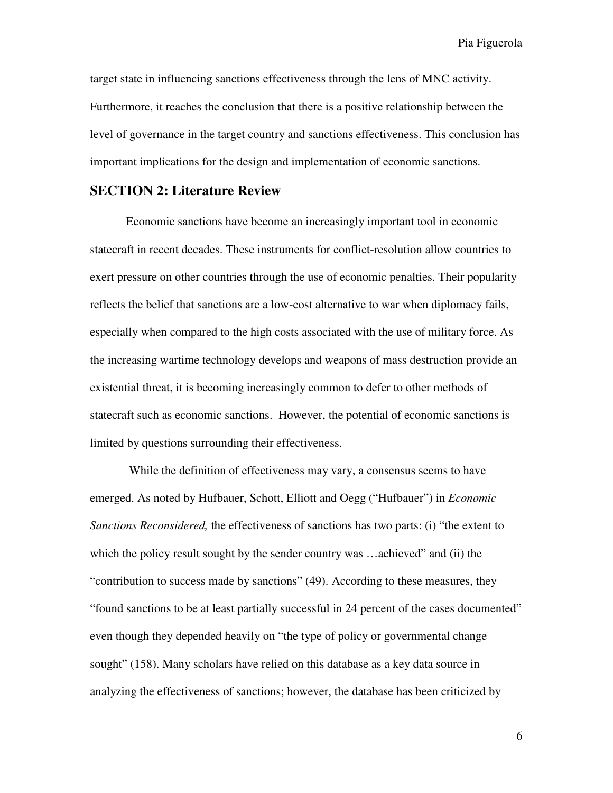target state in influencing sanctions effectiveness through the lens of MNC activity. Furthermore, it reaches the conclusion that there is a positive relationship between the level of governance in the target country and sanctions effectiveness. This conclusion has important implications for the design and implementation of economic sanctions.

#### **SECTION 2: Literature Review**

Economic sanctions have become an increasingly important tool in economic statecraft in recent decades. These instruments for conflict-resolution allow countries to exert pressure on other countries through the use of economic penalties. Their popularity reflects the belief that sanctions are a low-cost alternative to war when diplomacy fails, especially when compared to the high costs associated with the use of military force. As the increasing wartime technology develops and weapons of mass destruction provide an existential threat, it is becoming increasingly common to defer to other methods of statecraft such as economic sanctions. However, the potential of economic sanctions is limited by questions surrounding their effectiveness.

 While the definition of effectiveness may vary, a consensus seems to have emerged. As noted by Hufbauer, Schott, Elliott and Oegg ("Hufbauer") in *Economic Sanctions Reconsidered,* the effectiveness of sanctions has two parts: (i) "the extent to which the policy result sought by the sender country was ...achieved" and (ii) the "contribution to success made by sanctions" (49). According to these measures, they "found sanctions to be at least partially successful in 24 percent of the cases documented" even though they depended heavily on "the type of policy or governmental change sought" (158). Many scholars have relied on this database as a key data source in analyzing the effectiveness of sanctions; however, the database has been criticized by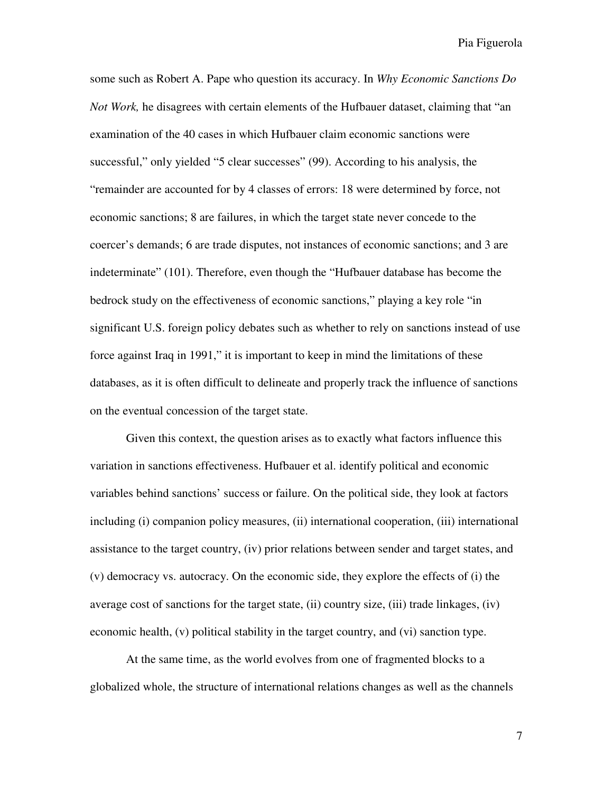some such as Robert A. Pape who question its accuracy. In *Why Economic Sanctions Do Not Work,* he disagrees with certain elements of the Hufbauer dataset, claiming that "an examination of the 40 cases in which Hufbauer claim economic sanctions were successful," only yielded "5 clear successes" (99). According to his analysis, the "remainder are accounted for by 4 classes of errors: 18 were determined by force, not economic sanctions; 8 are failures, in which the target state never concede to the coercer's demands; 6 are trade disputes, not instances of economic sanctions; and 3 are indeterminate" (101). Therefore, even though the "Hufbauer database has become the bedrock study on the effectiveness of economic sanctions," playing a key role "in significant U.S. foreign policy debates such as whether to rely on sanctions instead of use force against Iraq in 1991," it is important to keep in mind the limitations of these databases, as it is often difficult to delineate and properly track the influence of sanctions on the eventual concession of the target state.

Given this context, the question arises as to exactly what factors influence this variation in sanctions effectiveness. Hufbauer et al. identify political and economic variables behind sanctions' success or failure. On the political side, they look at factors including (i) companion policy measures, (ii) international cooperation, (iii) international assistance to the target country, (iv) prior relations between sender and target states, and (v) democracy vs. autocracy. On the economic side, they explore the effects of (i) the average cost of sanctions for the target state, (ii) country size, (iii) trade linkages, (iv) economic health, (v) political stability in the target country, and (vi) sanction type.

At the same time, as the world evolves from one of fragmented blocks to a globalized whole, the structure of international relations changes as well as the channels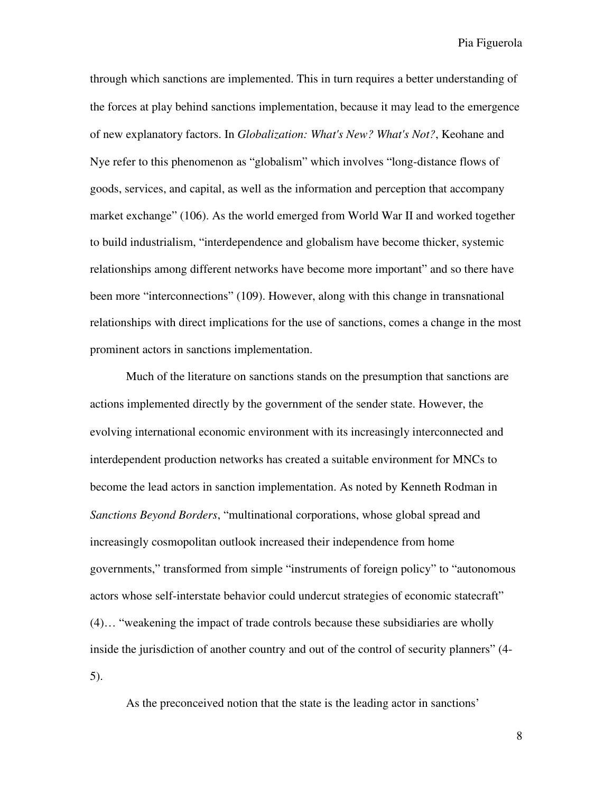through which sanctions are implemented. This in turn requires a better understanding of the forces at play behind sanctions implementation, because it may lead to the emergence of new explanatory factors. In *Globalization: What's New? What's Not?*, Keohane and Nye refer to this phenomenon as "globalism" which involves "long-distance flows of goods, services, and capital, as well as the information and perception that accompany market exchange" (106). As the world emerged from World War II and worked together to build industrialism, "interdependence and globalism have become thicker, systemic relationships among different networks have become more important" and so there have been more "interconnections" (109). However, along with this change in transnational relationships with direct implications for the use of sanctions, comes a change in the most prominent actors in sanctions implementation.

Much of the literature on sanctions stands on the presumption that sanctions are actions implemented directly by the government of the sender state. However, the evolving international economic environment with its increasingly interconnected and interdependent production networks has created a suitable environment for MNCs to become the lead actors in sanction implementation. As noted by Kenneth Rodman in *Sanctions Beyond Borders*, "multinational corporations, whose global spread and increasingly cosmopolitan outlook increased their independence from home governments," transformed from simple "instruments of foreign policy" to "autonomous actors whose self-interstate behavior could undercut strategies of economic statecraft" (4)… "weakening the impact of trade controls because these subsidiaries are wholly inside the jurisdiction of another country and out of the control of security planners" (4- 5).

As the preconceived notion that the state is the leading actor in sanctions'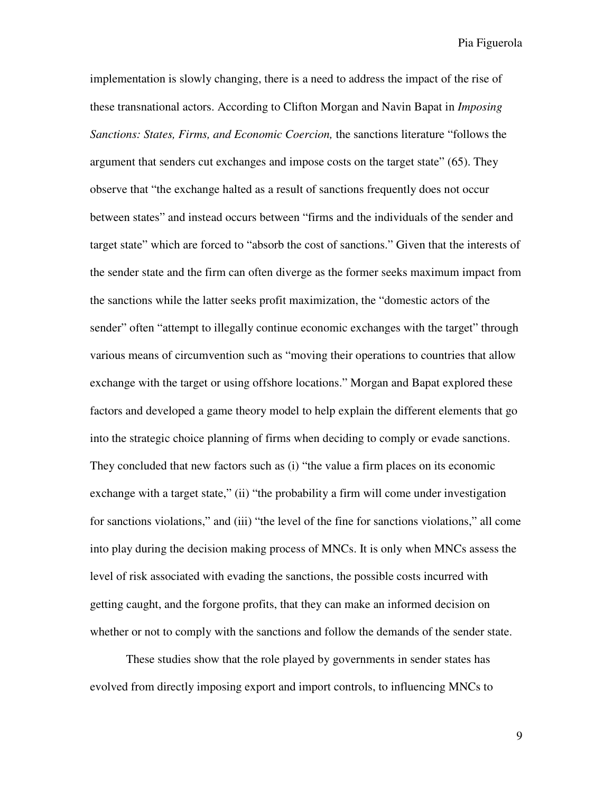implementation is slowly changing, there is a need to address the impact of the rise of these transnational actors. According to Clifton Morgan and Navin Bapat in *Imposing Sanctions: States, Firms, and Economic Coercion,* the sanctions literature "follows the argument that senders cut exchanges and impose costs on the target state" (65). They observe that "the exchange halted as a result of sanctions frequently does not occur between states" and instead occurs between "firms and the individuals of the sender and target state" which are forced to "absorb the cost of sanctions." Given that the interests of the sender state and the firm can often diverge as the former seeks maximum impact from the sanctions while the latter seeks profit maximization, the "domestic actors of the sender" often "attempt to illegally continue economic exchanges with the target" through various means of circumvention such as "moving their operations to countries that allow exchange with the target or using offshore locations." Morgan and Bapat explored these factors and developed a game theory model to help explain the different elements that go into the strategic choice planning of firms when deciding to comply or evade sanctions. They concluded that new factors such as (i) "the value a firm places on its economic exchange with a target state," (ii) "the probability a firm will come under investigation for sanctions violations," and (iii) "the level of the fine for sanctions violations," all come into play during the decision making process of MNCs. It is only when MNCs assess the level of risk associated with evading the sanctions, the possible costs incurred with getting caught, and the forgone profits, that they can make an informed decision on whether or not to comply with the sanctions and follow the demands of the sender state.

These studies show that the role played by governments in sender states has evolved from directly imposing export and import controls, to influencing MNCs to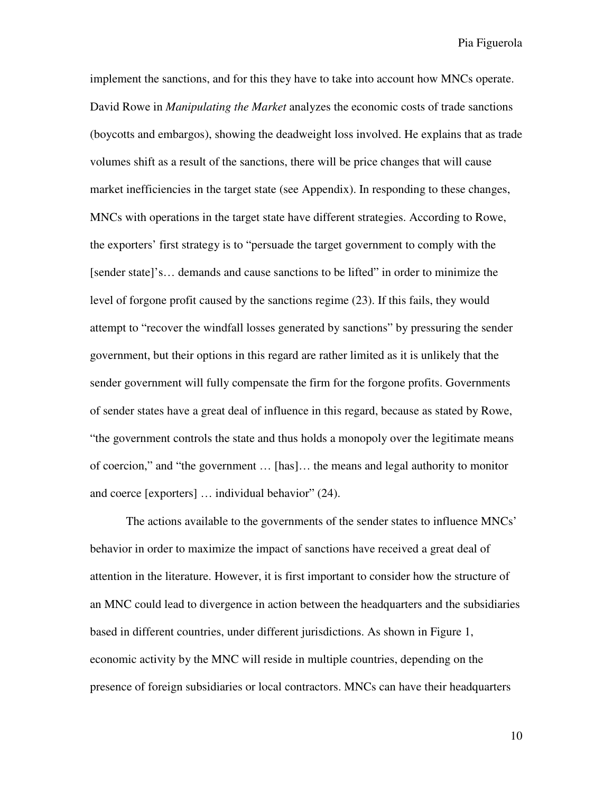implement the sanctions, and for this they have to take into account how MNCs operate. David Rowe in *Manipulating the Market* analyzes the economic costs of trade sanctions (boycotts and embargos), showing the deadweight loss involved. He explains that as trade volumes shift as a result of the sanctions, there will be price changes that will cause market inefficiencies in the target state (see Appendix). In responding to these changes, MNCs with operations in the target state have different strategies. According to Rowe, the exporters' first strategy is to "persuade the target government to comply with the [sender state]'s… demands and cause sanctions to be lifted" in order to minimize the level of forgone profit caused by the sanctions regime (23). If this fails, they would attempt to "recover the windfall losses generated by sanctions" by pressuring the sender government, but their options in this regard are rather limited as it is unlikely that the sender government will fully compensate the firm for the forgone profits. Governments of sender states have a great deal of influence in this regard, because as stated by Rowe, "the government controls the state and thus holds a monopoly over the legitimate means of coercion," and "the government … [has]… the means and legal authority to monitor and coerce [exporters] … individual behavior" (24).

The actions available to the governments of the sender states to influence MNCs' behavior in order to maximize the impact of sanctions have received a great deal of attention in the literature. However, it is first important to consider how the structure of an MNC could lead to divergence in action between the headquarters and the subsidiaries based in different countries, under different jurisdictions. As shown in Figure 1, economic activity by the MNC will reside in multiple countries, depending on the presence of foreign subsidiaries or local contractors. MNCs can have their headquarters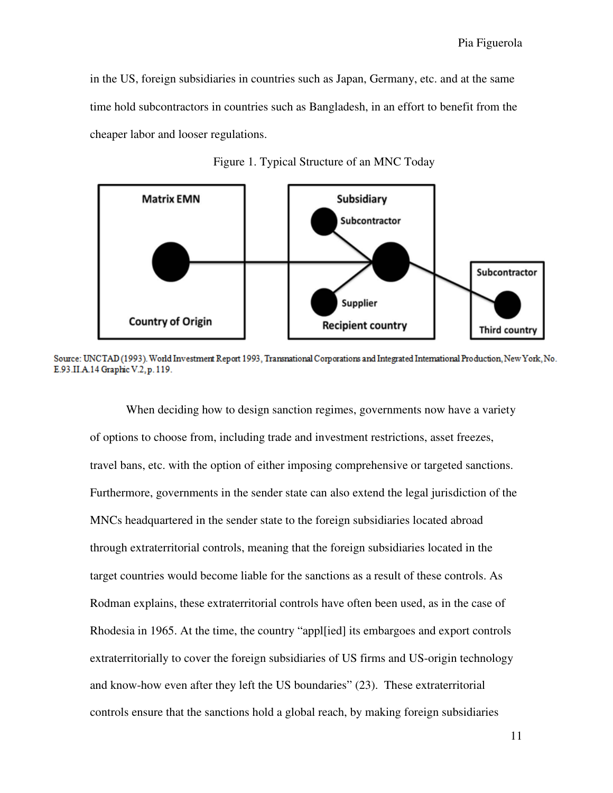in the US, foreign subsidiaries in countries such as Japan, Germany, etc. and at the same time hold subcontractors in countries such as Bangladesh, in an effort to benefit from the cheaper labor and looser regulations.



Figure 1. Typical Structure of an MNC Today

Source: UNCTAD (1993). World Investment Report 1993, Transnational Corporations and Integrated International Production, New York, No. E.93.II.A.14 Graphic V.2, p. 119.

When deciding how to design sanction regimes, governments now have a variety of options to choose from, including trade and investment restrictions, asset freezes, travel bans, etc. with the option of either imposing comprehensive or targeted sanctions. Furthermore, governments in the sender state can also extend the legal jurisdiction of the MNCs headquartered in the sender state to the foreign subsidiaries located abroad through extraterritorial controls, meaning that the foreign subsidiaries located in the target countries would become liable for the sanctions as a result of these controls. As Rodman explains, these extraterritorial controls have often been used, as in the case of Rhodesia in 1965. At the time, the country "appl[ied] its embargoes and export controls extraterritorially to cover the foreign subsidiaries of US firms and US-origin technology and know-how even after they left the US boundaries" (23). These extraterritorial controls ensure that the sanctions hold a global reach, by making foreign subsidiaries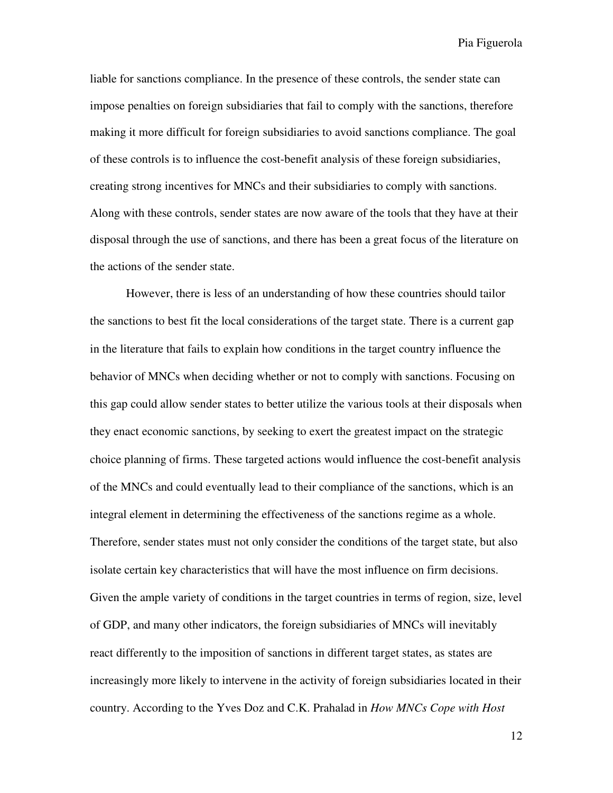liable for sanctions compliance. In the presence of these controls, the sender state can impose penalties on foreign subsidiaries that fail to comply with the sanctions, therefore making it more difficult for foreign subsidiaries to avoid sanctions compliance. The goal of these controls is to influence the cost-benefit analysis of these foreign subsidiaries, creating strong incentives for MNCs and their subsidiaries to comply with sanctions. Along with these controls, sender states are now aware of the tools that they have at their disposal through the use of sanctions, and there has been a great focus of the literature on the actions of the sender state.

However, there is less of an understanding of how these countries should tailor the sanctions to best fit the local considerations of the target state. There is a current gap in the literature that fails to explain how conditions in the target country influence the behavior of MNCs when deciding whether or not to comply with sanctions. Focusing on this gap could allow sender states to better utilize the various tools at their disposals when they enact economic sanctions, by seeking to exert the greatest impact on the strategic choice planning of firms. These targeted actions would influence the cost-benefit analysis of the MNCs and could eventually lead to their compliance of the sanctions, which is an integral element in determining the effectiveness of the sanctions regime as a whole. Therefore, sender states must not only consider the conditions of the target state, but also isolate certain key characteristics that will have the most influence on firm decisions. Given the ample variety of conditions in the target countries in terms of region, size, level of GDP, and many other indicators, the foreign subsidiaries of MNCs will inevitably react differently to the imposition of sanctions in different target states, as states are increasingly more likely to intervene in the activity of foreign subsidiaries located in their country. According to the Yves Doz and C.K. Prahalad in *How MNCs Cope with Host*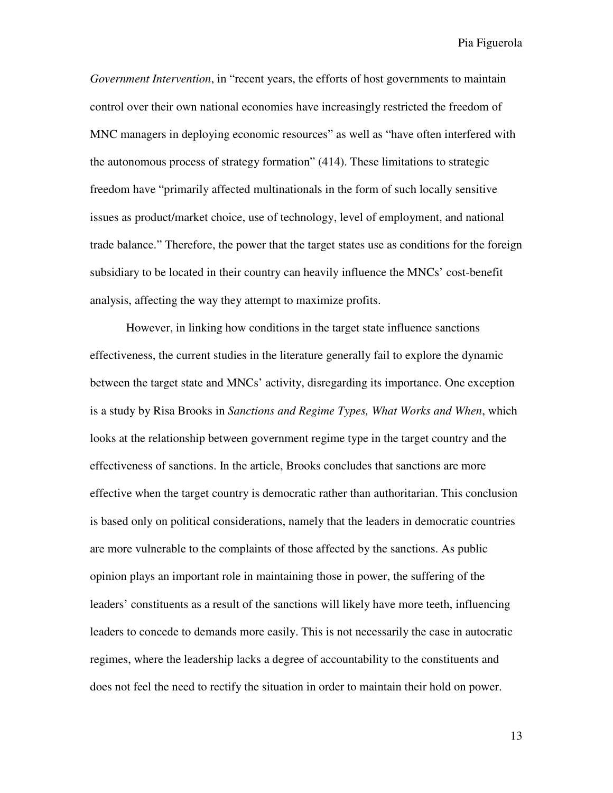*Government Intervention*, in "recent years, the efforts of host governments to maintain control over their own national economies have increasingly restricted the freedom of MNC managers in deploying economic resources" as well as "have often interfered with the autonomous process of strategy formation" (414). These limitations to strategic freedom have "primarily affected multinationals in the form of such locally sensitive issues as product/market choice, use of technology, level of employment, and national trade balance." Therefore, the power that the target states use as conditions for the foreign subsidiary to be located in their country can heavily influence the MNCs' cost-benefit analysis, affecting the way they attempt to maximize profits.

However, in linking how conditions in the target state influence sanctions effectiveness, the current studies in the literature generally fail to explore the dynamic between the target state and MNCs' activity, disregarding its importance. One exception is a study by Risa Brooks in *Sanctions and Regime Types, What Works and When*, which looks at the relationship between government regime type in the target country and the effectiveness of sanctions. In the article, Brooks concludes that sanctions are more effective when the target country is democratic rather than authoritarian. This conclusion is based only on political considerations, namely that the leaders in democratic countries are more vulnerable to the complaints of those affected by the sanctions. As public opinion plays an important role in maintaining those in power, the suffering of the leaders' constituents as a result of the sanctions will likely have more teeth, influencing leaders to concede to demands more easily. This is not necessarily the case in autocratic regimes, where the leadership lacks a degree of accountability to the constituents and does not feel the need to rectify the situation in order to maintain their hold on power.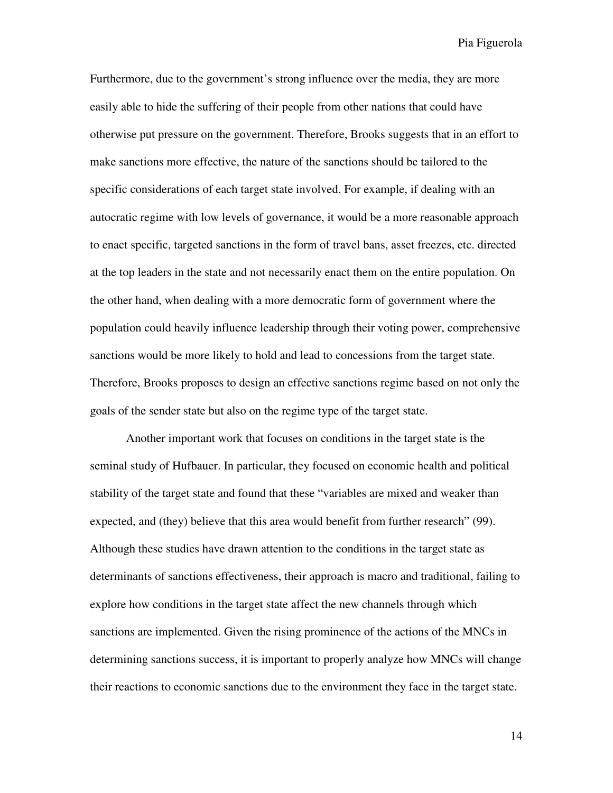Furthermore, due to the government's strong influence over the media, they are more easily able to hide the suffering of their people from other nations that could have otherwise put pressure on the government. Therefore, Brooks suggests that in an effort to make sanctions more effective, the nature of the sanctions should be tailored to the specific considerations of each target state involved. For example, if dealing with an autocratic regime with low levels of governance, it would be a more reasonable approach to enact specific, targeted sanctions in the form of travel bans, asset freezes, etc. directed at the top leaders in the state and not necessarily enact them on the entire population. On the other hand, when dealing with a more democratic form of government where the population could heavily influence leadership through their voting power, comprehensive sanctions would be more likely to hold and lead to concessions from the target state. Therefore, Brooks proposes to design an effective sanctions regime based on not only the goals of the sender state but also on the regime type of the target state.

Another important work that focuses on conditions in the target state is the seminal study of Hufbauer. In particular, they focused on economic health and political stability of the target state and found that these "variables are mixed and weaker than expected, and (they) believe that this area would benefit from further research" (99). Although these studies have drawn attention to the conditions in the target state as determinants of sanctions effectiveness, their approach is macro and traditional, failing to explore how conditions in the target state affect the new channels through which sanctions are implemented. Given the rising prominence of the actions of the MNCs in determining sanctions success, it is important to properly analyze how MNCs will change their reactions to economic sanctions due to the environment they face in the target state.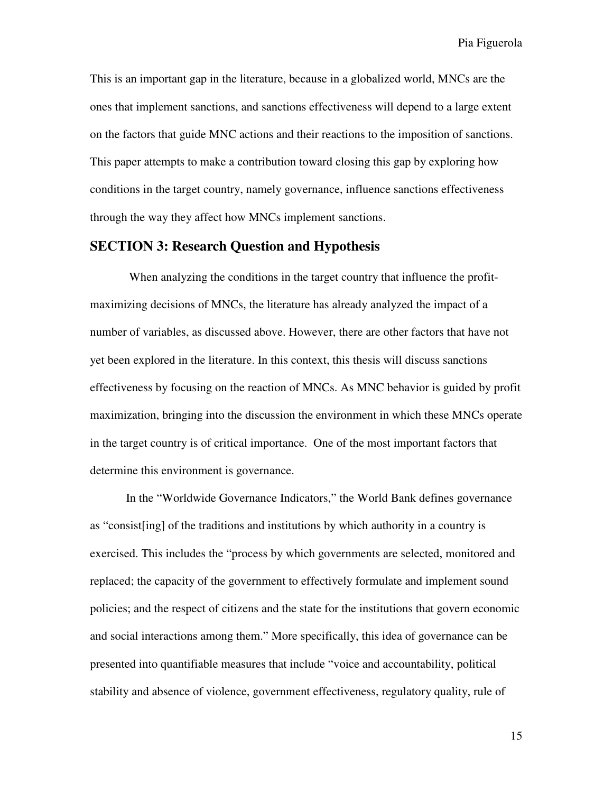This is an important gap in the literature, because in a globalized world, MNCs are the ones that implement sanctions, and sanctions effectiveness will depend to a large extent on the factors that guide MNC actions and their reactions to the imposition of sanctions. This paper attempts to make a contribution toward closing this gap by exploring how conditions in the target country, namely governance, influence sanctions effectiveness through the way they affect how MNCs implement sanctions.

#### **SECTION 3: Research Question and Hypothesis**

 When analyzing the conditions in the target country that influence the profitmaximizing decisions of MNCs, the literature has already analyzed the impact of a number of variables, as discussed above. However, there are other factors that have not yet been explored in the literature. In this context, this thesis will discuss sanctions effectiveness by focusing on the reaction of MNCs. As MNC behavior is guided by profit maximization, bringing into the discussion the environment in which these MNCs operate in the target country is of critical importance. One of the most important factors that determine this environment is governance.

In the "Worldwide Governance Indicators," the World Bank defines governance as "consist[ing] of the traditions and institutions by which authority in a country is exercised. This includes the "process by which governments are selected, monitored and replaced; the capacity of the government to effectively formulate and implement sound policies; and the respect of citizens and the state for the institutions that govern economic and social interactions among them." More specifically, this idea of governance can be presented into quantifiable measures that include "voice and accountability, political stability and absence of violence, government effectiveness, regulatory quality, rule of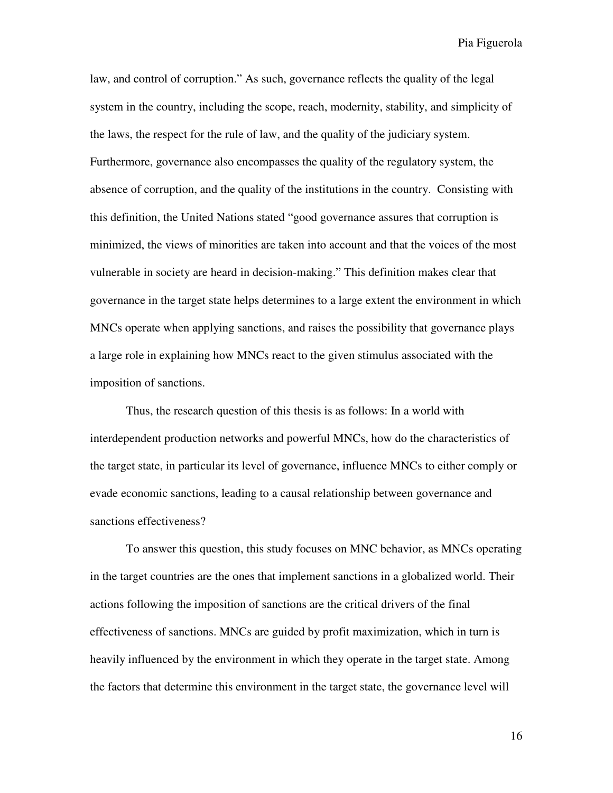law, and control of corruption." As such, governance reflects the quality of the legal system in the country, including the scope, reach, modernity, stability, and simplicity of the laws, the respect for the rule of law, and the quality of the judiciary system. Furthermore, governance also encompasses the quality of the regulatory system, the absence of corruption, and the quality of the institutions in the country. Consisting with this definition, the United Nations stated "good governance assures that corruption is minimized, the views of minorities are taken into account and that the voices of the most vulnerable in society are heard in decision-making." This definition makes clear that governance in the target state helps determines to a large extent the environment in which MNCs operate when applying sanctions, and raises the possibility that governance plays a large role in explaining how MNCs react to the given stimulus associated with the imposition of sanctions.

Thus, the research question of this thesis is as follows: In a world with interdependent production networks and powerful MNCs, how do the characteristics of the target state, in particular its level of governance, influence MNCs to either comply or evade economic sanctions, leading to a causal relationship between governance and sanctions effectiveness?

To answer this question, this study focuses on MNC behavior, as MNCs operating in the target countries are the ones that implement sanctions in a globalized world. Their actions following the imposition of sanctions are the critical drivers of the final effectiveness of sanctions. MNCs are guided by profit maximization, which in turn is heavily influenced by the environment in which they operate in the target state. Among the factors that determine this environment in the target state, the governance level will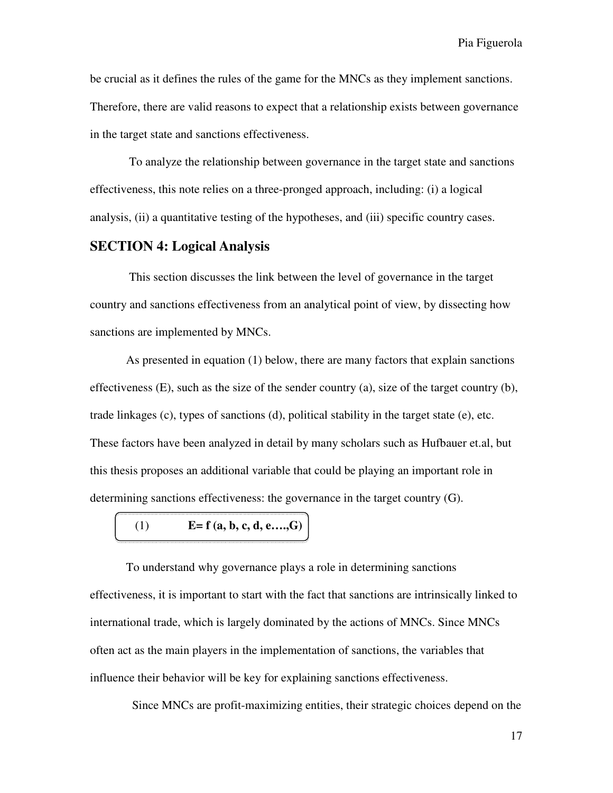be crucial as it defines the rules of the game for the MNCs as they implement sanctions. Therefore, there are valid reasons to expect that a relationship exists between governance in the target state and sanctions effectiveness.

 To analyze the relationship between governance in the target state and sanctions effectiveness, this note relies on a three-pronged approach, including: (i) a logical analysis, (ii) a quantitative testing of the hypotheses, and (iii) specific country cases.

#### **SECTION 4: Logical Analysis**

This section discusses the link between the level of governance in the target country and sanctions effectiveness from an analytical point of view, by dissecting how sanctions are implemented by MNCs.

As presented in equation (1) below, there are many factors that explain sanctions effectiveness (E), such as the size of the sender country (a), size of the target country (b), trade linkages (c), types of sanctions (d), political stability in the target state (e), etc. These factors have been analyzed in detail by many scholars such as Hufbauer et.al, but this thesis proposes an additional variable that could be playing an important role in determining sanctions effectiveness: the governance in the target country (G).

# (1) **E= f (a, b, c, d, e….,G)**

To understand why governance plays a role in determining sanctions effectiveness, it is important to start with the fact that sanctions are intrinsically linked to international trade, which is largely dominated by the actions of MNCs. Since MNCs often act as the main players in the implementation of sanctions, the variables that influence their behavior will be key for explaining sanctions effectiveness.

Since MNCs are profit-maximizing entities, their strategic choices depend on the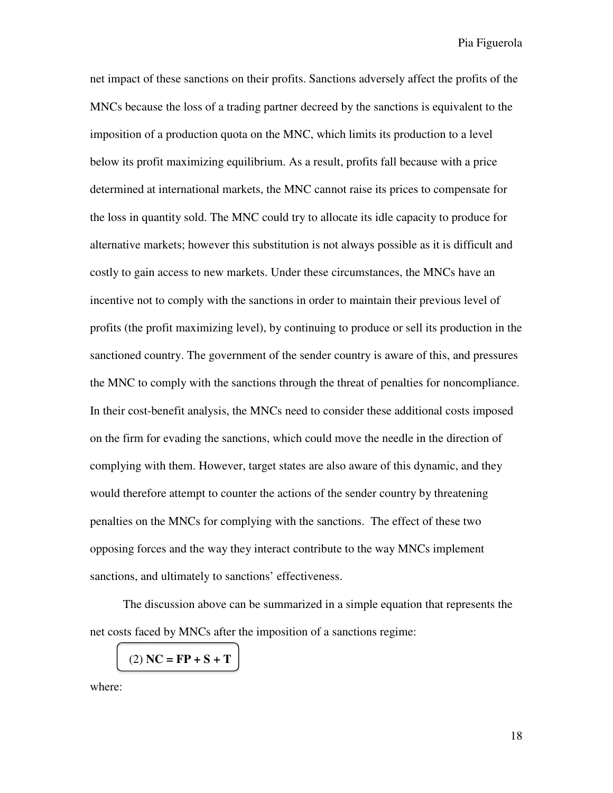net impact of these sanctions on their profits. Sanctions adversely affect the profits of the MNCs because the loss of a trading partner decreed by the sanctions is equivalent to the imposition of a production quota on the MNC, which limits its production to a level below its profit maximizing equilibrium. As a result, profits fall because with a price determined at international markets, the MNC cannot raise its prices to compensate for the loss in quantity sold. The MNC could try to allocate its idle capacity to produce for alternative markets; however this substitution is not always possible as it is difficult and costly to gain access to new markets. Under these circumstances, the MNCs have an incentive not to comply with the sanctions in order to maintain their previous level of profits (the profit maximizing level), by continuing to produce or sell its production in the sanctioned country. The government of the sender country is aware of this, and pressures the MNC to comply with the sanctions through the threat of penalties for noncompliance. In their cost-benefit analysis, the MNCs need to consider these additional costs imposed on the firm for evading the sanctions, which could move the needle in the direction of complying with them. However, target states are also aware of this dynamic, and they would therefore attempt to counter the actions of the sender country by threatening penalties on the MNCs for complying with the sanctions. The effect of these two opposing forces and the way they interact contribute to the way MNCs implement sanctions, and ultimately to sanctions' effectiveness.

 The discussion above can be summarized in a simple equation that represents the net costs faced by MNCs after the imposition of a sanctions regime:

(2) **NC = FP + S + T** 

where: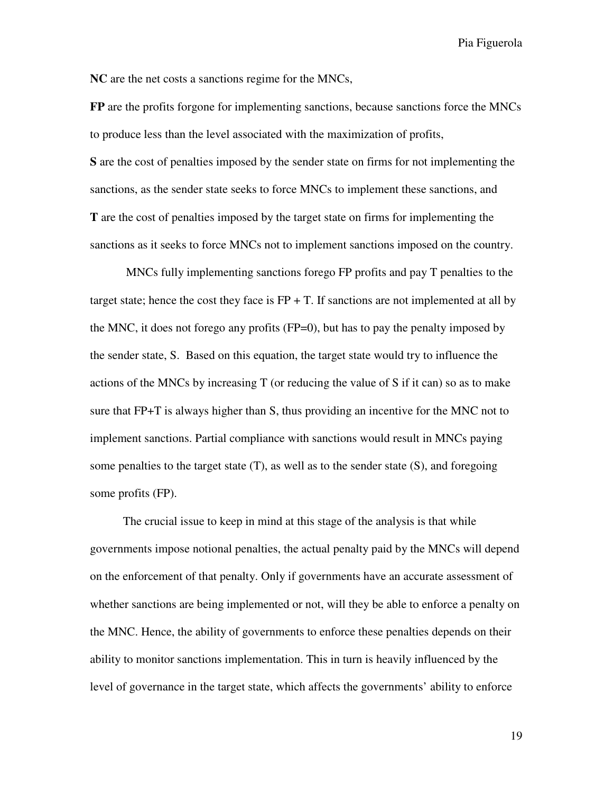**NC** are the net costs a sanctions regime for the MNCs,

**FP** are the profits forgone for implementing sanctions, because sanctions force the MNCs to produce less than the level associated with the maximization of profits, **S** are the cost of penalties imposed by the sender state on firms for not implementing the sanctions, as the sender state seeks to force MNCs to implement these sanctions, and **T** are the cost of penalties imposed by the target state on firms for implementing the sanctions as it seeks to force MNCs not to implement sanctions imposed on the country.

 MNCs fully implementing sanctions forego FP profits and pay T penalties to the target state; hence the cost they face is  $FP + T$ . If sanctions are not implemented at all by the MNC, it does not forego any profits (FP=0), but has to pay the penalty imposed by the sender state, S. Based on this equation, the target state would try to influence the actions of the MNCs by increasing T (or reducing the value of S if it can) so as to make sure that FP+T is always higher than S, thus providing an incentive for the MNC not to implement sanctions. Partial compliance with sanctions would result in MNCs paying some penalties to the target state (T), as well as to the sender state (S), and foregoing some profits (FP).

 The crucial issue to keep in mind at this stage of the analysis is that while governments impose notional penalties, the actual penalty paid by the MNCs will depend on the enforcement of that penalty. Only if governments have an accurate assessment of whether sanctions are being implemented or not, will they be able to enforce a penalty on the MNC. Hence, the ability of governments to enforce these penalties depends on their ability to monitor sanctions implementation. This in turn is heavily influenced by the level of governance in the target state, which affects the governments' ability to enforce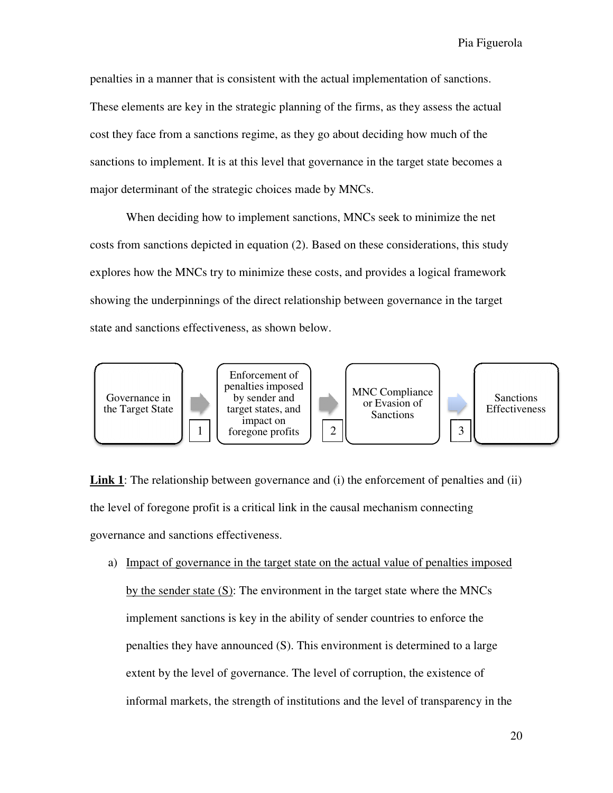penalties in a manner that is consistent with the actual implementation of sanctions. penalties in a manner that is consistent with the actual implementation of sanctions.<br>These elements are key in the strategic planning of the firms, as they assess the actual cost they face from a sanctions regime, as they go about deciding how much of the sanctions to implement. It is at this level that governance in the target state becomes a major determinant of the strategic choices made by MNCs. major determinant of the strategic choices made by MNCs.

When deciding how to implement sanctions, MNCs seek to minimize the net When deciding how to implement sanctions, MNCs seek to minimize the net<br>costs from sanctions depicted in equation (2). Based on these considerations, this study explores how the MNCs try to minimize these costs, and provides a logical framework showing the underpinnings of the direct relationship between governance in the target state and sanctions effectiveness, as shown below.



**Link 1**: The relationship between governance and (i) the enforcement of penalties and (ii) the level of foregone profit is a critical link in the causal mechanism connecting governance and sanctions effectiveness. level of foregone profit is a critical link in the causal mechanism connecting<br>ernance and sanctions effectiveness.<br>a) Impact of governance in the target state on the actual value of penalties imposed

by the sender state  $(S)$ : The environment in the target state where the MNCs implement sanctions is key in the ability of sender countries to enforce the penalties they have announced (S). This environment is determined to a large extent by the level of governance. The level of corruption, the existence of informal markets, the strength of institutions and the level of transparency in the implement sanctions is key in the ability of sender countries to enforce the<br>penalties they have announced (S). This environment is determined to a lar<br>extent by the level of governance. The level of corruption, the existe strength of institutions transparency in Enforcement of or Evasion of<br>
Sanctions<br>
are enforcement of penalties and (ii)<br>
and mechanism connecting<br>
actual value of penalties imposed<br>
target state where the MNCs<br>
der countries to enforce the<br>
enforce the<br>
target state where the M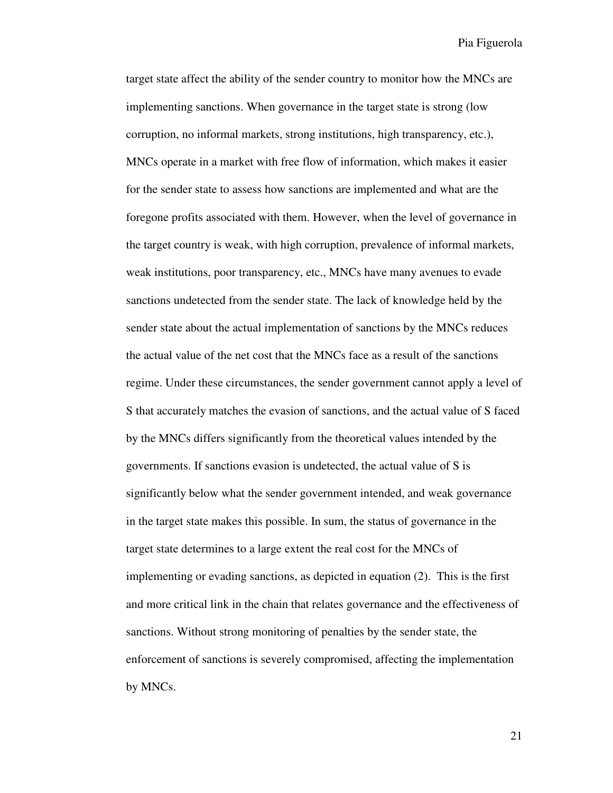target state affect the ability of the sender country to monitor how the MNCs are implementing sanctions. When governance in the target state is strong (low corruption, no informal markets, strong institutions, high transparency, etc.), MNCs operate in a market with free flow of information, which makes it easier for the sender state to assess how sanctions are implemented and what are the foregone profits associated with them. However, when the level of governance in the target country is weak, with high corruption, prevalence of informal markets, weak institutions, poor transparency, etc., MNCs have many avenues to evade sanctions undetected from the sender state. The lack of knowledge held by the sender state about the actual implementation of sanctions by the MNCs reduces the actual value of the net cost that the MNCs face as a result of the sanctions regime. Under these circumstances, the sender government cannot apply a level of S that accurately matches the evasion of sanctions, and the actual value of S faced by the MNCs differs significantly from the theoretical values intended by the governments. If sanctions evasion is undetected, the actual value of S is significantly below what the sender government intended, and weak governance in the target state makes this possible. In sum, the status of governance in the target state determines to a large extent the real cost for the MNCs of implementing or evading sanctions, as depicted in equation (2). This is the first and more critical link in the chain that relates governance and the effectiveness of sanctions. Without strong monitoring of penalties by the sender state, the enforcement of sanctions is severely compromised, affecting the implementation by MNCs.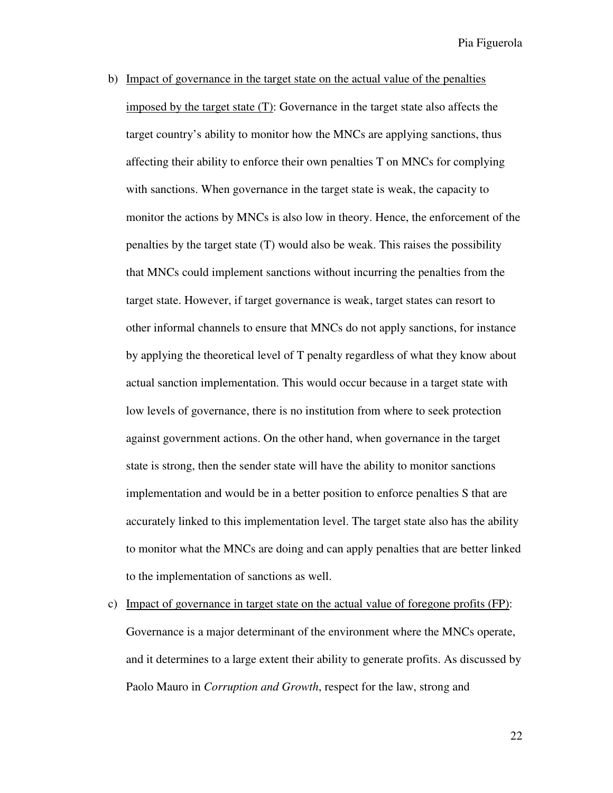- b) Impact of governance in the target state on the actual value of the penalties imposed by the target state (T): Governance in the target state also affects the target country's ability to monitor how the MNCs are applying sanctions, thus affecting their ability to enforce their own penalties T on MNCs for complying with sanctions. When governance in the target state is weak, the capacity to monitor the actions by MNCs is also low in theory. Hence, the enforcement of the penalties by the target state (T) would also be weak. This raises the possibility that MNCs could implement sanctions without incurring the penalties from the target state. However, if target governance is weak, target states can resort to other informal channels to ensure that MNCs do not apply sanctions, for instance by applying the theoretical level of T penalty regardless of what they know about actual sanction implementation. This would occur because in a target state with low levels of governance, there is no institution from where to seek protection against government actions. On the other hand, when governance in the target state is strong, then the sender state will have the ability to monitor sanctions implementation and would be in a better position to enforce penalties S that are accurately linked to this implementation level. The target state also has the ability to monitor what the MNCs are doing and can apply penalties that are better linked to the implementation of sanctions as well.
- c) Impact of governance in target state on the actual value of foregone profits (FP): Governance is a major determinant of the environment where the MNCs operate, and it determines to a large extent their ability to generate profits. As discussed by Paolo Mauro in *Corruption and Growth*, respect for the law, strong and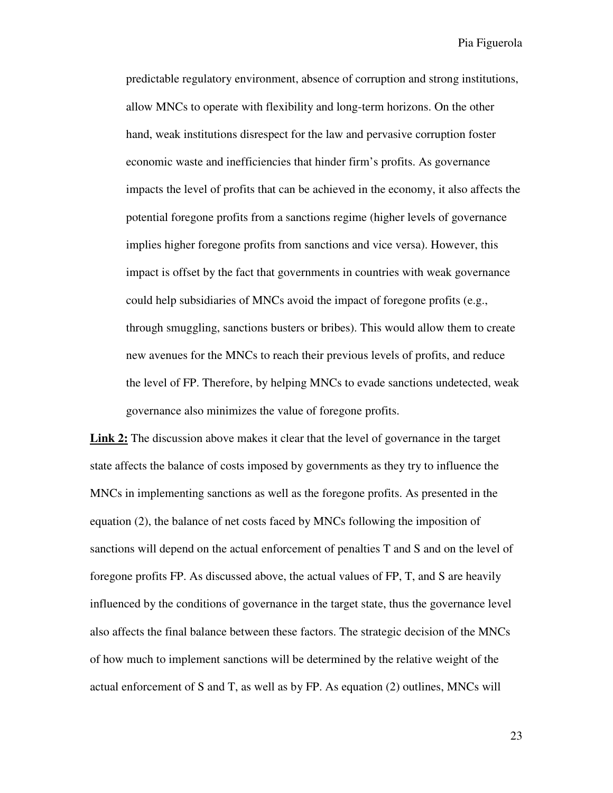predictable regulatory environment, absence of corruption and strong institutions, allow MNCs to operate with flexibility and long-term horizons. On the other hand, weak institutions disrespect for the law and pervasive corruption foster economic waste and inefficiencies that hinder firm's profits. As governance impacts the level of profits that can be achieved in the economy, it also affects the potential foregone profits from a sanctions regime (higher levels of governance implies higher foregone profits from sanctions and vice versa). However, this impact is offset by the fact that governments in countries with weak governance could help subsidiaries of MNCs avoid the impact of foregone profits (e.g., through smuggling, sanctions busters or bribes). This would allow them to create new avenues for the MNCs to reach their previous levels of profits, and reduce the level of FP. Therefore, by helping MNCs to evade sanctions undetected, weak governance also minimizes the value of foregone profits.

Link 2: The discussion above makes it clear that the level of governance in the target state affects the balance of costs imposed by governments as they try to influence the MNCs in implementing sanctions as well as the foregone profits. As presented in the equation (2), the balance of net costs faced by MNCs following the imposition of sanctions will depend on the actual enforcement of penalties T and S and on the level of foregone profits FP. As discussed above, the actual values of FP, T, and S are heavily influenced by the conditions of governance in the target state, thus the governance level also affects the final balance between these factors. The strategic decision of the MNCs of how much to implement sanctions will be determined by the relative weight of the actual enforcement of S and T, as well as by FP. As equation (2) outlines, MNCs will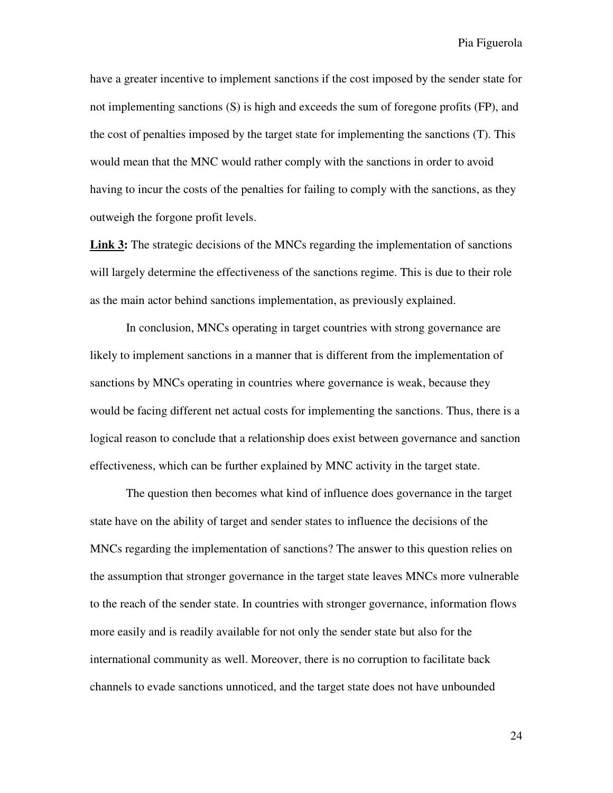have a greater incentive to implement sanctions if the cost imposed by the sender state for not implementing sanctions (S) is high and exceeds the sum of foregone profits (FP), and the cost of penalties imposed by the target state for implementing the sanctions (T). This would mean that the MNC would rather comply with the sanctions in order to avoid having to incur the costs of the penalties for failing to comply with the sanctions, as they outweigh the forgone profit levels.

**Link 3:** The strategic decisions of the MNCs regarding the implementation of sanctions will largely determine the effectiveness of the sanctions regime. This is due to their role as the main actor behind sanctions implementation, as previously explained.

In conclusion, MNCs operating in target countries with strong governance are likely to implement sanctions in a manner that is different from the implementation of sanctions by MNCs operating in countries where governance is weak, because they would be facing different net actual costs for implementing the sanctions. Thus, there is a logical reason to conclude that a relationship does exist between governance and sanction effectiveness, which can be further explained by MNC activity in the target state.

The question then becomes what kind of influence does governance in the target state have on the ability of target and sender states to influence the decisions of the MNCs regarding the implementation of sanctions? The answer to this question relies on the assumption that stronger governance in the target state leaves MNCs more vulnerable to the reach of the sender state. In countries with stronger governance, information flows more easily and is readily available for not only the sender state but also for the international community as well. Moreover, there is no corruption to facilitate back channels to evade sanctions unnoticed, and the target state does not have unbounded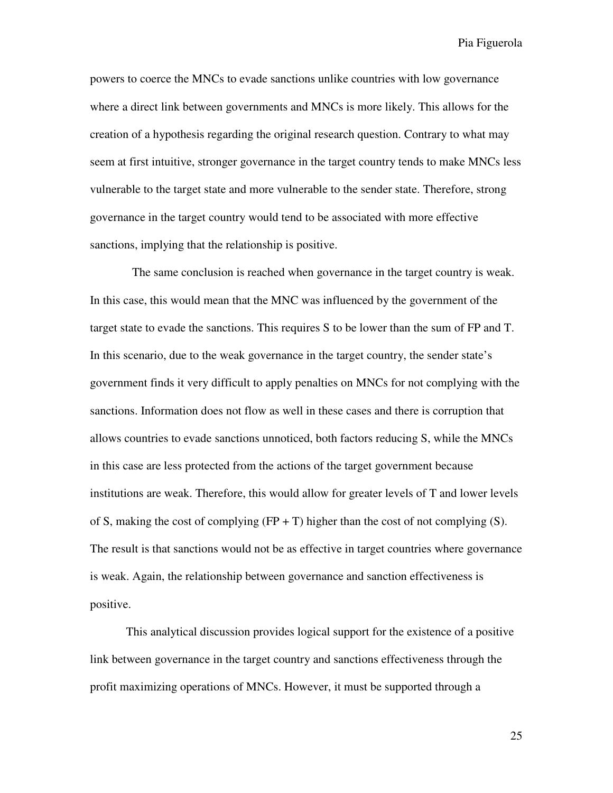powers to coerce the MNCs to evade sanctions unlike countries with low governance where a direct link between governments and MNCs is more likely. This allows for the creation of a hypothesis regarding the original research question. Contrary to what may seem at first intuitive, stronger governance in the target country tends to make MNCs less vulnerable to the target state and more vulnerable to the sender state. Therefore, strong governance in the target country would tend to be associated with more effective sanctions, implying that the relationship is positive.

 The same conclusion is reached when governance in the target country is weak. In this case, this would mean that the MNC was influenced by the government of the target state to evade the sanctions. This requires S to be lower than the sum of FP and T. In this scenario, due to the weak governance in the target country, the sender state's government finds it very difficult to apply penalties on MNCs for not complying with the sanctions. Information does not flow as well in these cases and there is corruption that allows countries to evade sanctions unnoticed, both factors reducing S, while the MNCs in this case are less protected from the actions of the target government because institutions are weak. Therefore, this would allow for greater levels of T and lower levels of S, making the cost of complying  $(FP + T)$  higher than the cost of not complying (S). The result is that sanctions would not be as effective in target countries where governance is weak. Again, the relationship between governance and sanction effectiveness is positive.

This analytical discussion provides logical support for the existence of a positive link between governance in the target country and sanctions effectiveness through the profit maximizing operations of MNCs. However, it must be supported through a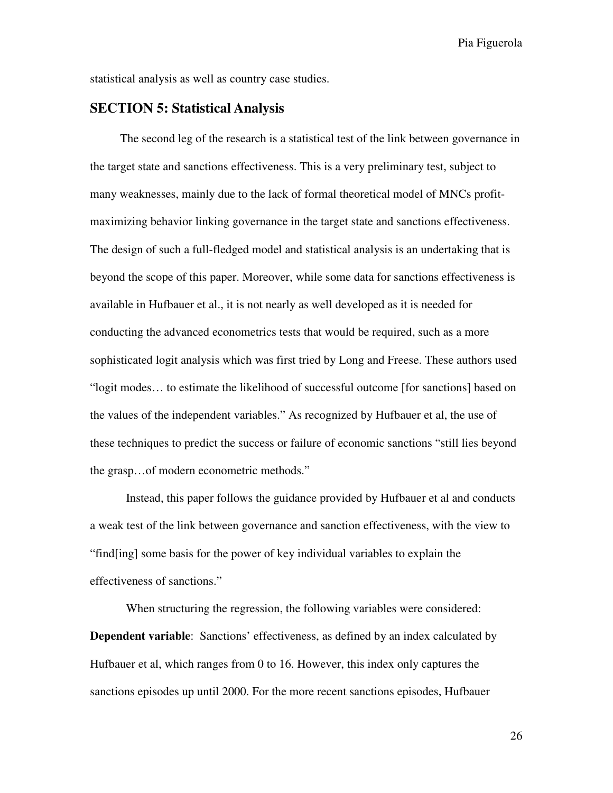statistical analysis as well as country case studies.

### **SECTION 5: Statistical Analysis**

 The second leg of the research is a statistical test of the link between governance in the target state and sanctions effectiveness. This is a very preliminary test, subject to many weaknesses, mainly due to the lack of formal theoretical model of MNCs profitmaximizing behavior linking governance in the target state and sanctions effectiveness. The design of such a full-fledged model and statistical analysis is an undertaking that is beyond the scope of this paper. Moreover, while some data for sanctions effectiveness is available in Hufbauer et al., it is not nearly as well developed as it is needed for conducting the advanced econometrics tests that would be required, such as a more sophisticated logit analysis which was first tried by Long and Freese. These authors used "logit modes… to estimate the likelihood of successful outcome [for sanctions] based on the values of the independent variables." As recognized by Hufbauer et al, the use of these techniques to predict the success or failure of economic sanctions "still lies beyond the grasp…of modern econometric methods."

Instead, this paper follows the guidance provided by Hufbauer et al and conducts a weak test of the link between governance and sanction effectiveness, with the view to "find[ing] some basis for the power of key individual variables to explain the effectiveness of sanctions."

 When structuring the regression, the following variables were considered: **Dependent variable**: Sanctions' effectiveness, as defined by an index calculated by Hufbauer et al, which ranges from 0 to 16. However, this index only captures the sanctions episodes up until 2000. For the more recent sanctions episodes, Hufbauer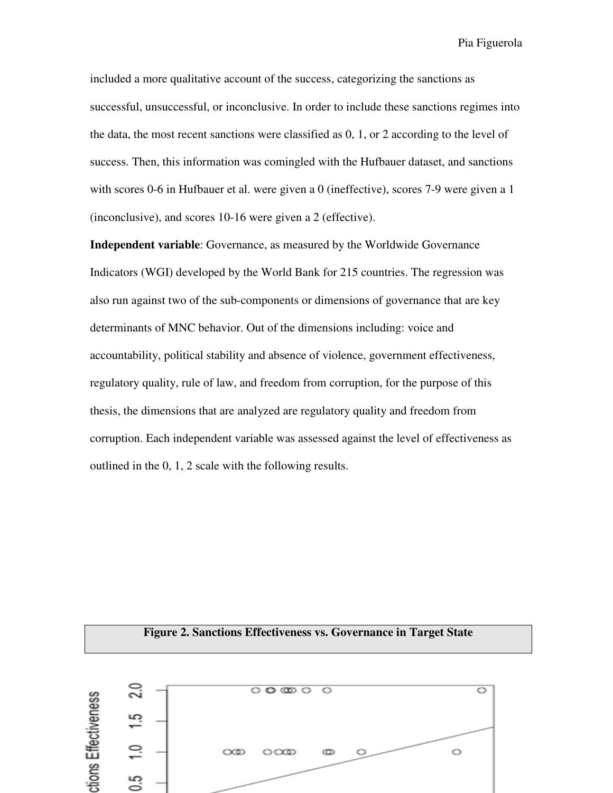included a more qualitative account of the success, categorizing the sanctions as successful, unsuccessful, or inconclusive. In order to include these sanctions regimes into the data, the most recent sanctions were classified as 0, 1, or 2 according to the level of success. Then, this information was comingled with the Hufbauer dataset, and sanctions with scores 0-6 in Hufbauer et al. were given a 0 (ineffective), scores 7-9 were given a 1 (inconclusive), and scores 10-16 were given a 2 (effective).

**Independent variable**: Governance, as measured by the Worldwide Governance Indicators (WGI) developed by the World Bank for 215 countries. The regression was also run against two of the sub-components or dimensions of governance that are key determinants of MNC behavior. Out of the dimensions including: voice and accountability, political stability and absence of violence, government effectiveness, regulatory quality, rule of law, and freedom from corruption, for the purpose of this thesis, the dimensions that are analyzed are regulatory quality and freedom from corruption. Each independent variable was assessed against the level of effectiveness as outlined in the 0, 1, 2 scale with the following results.

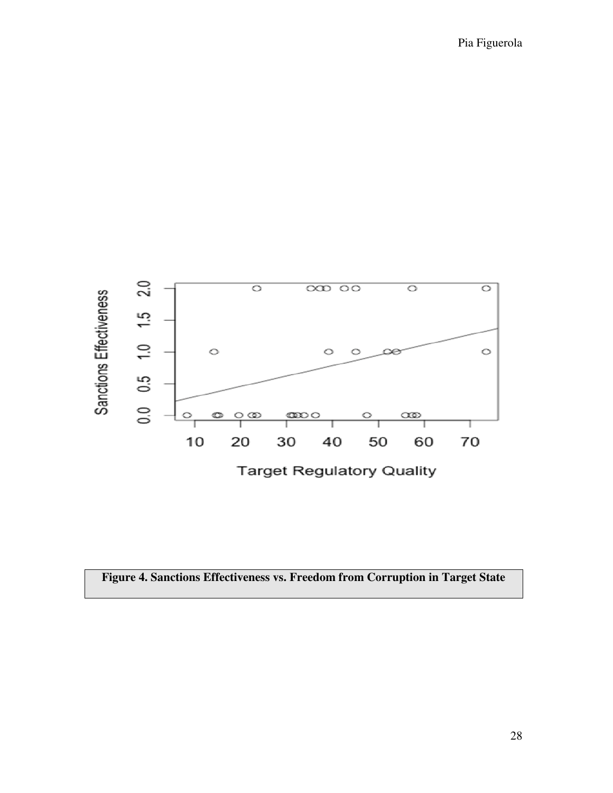

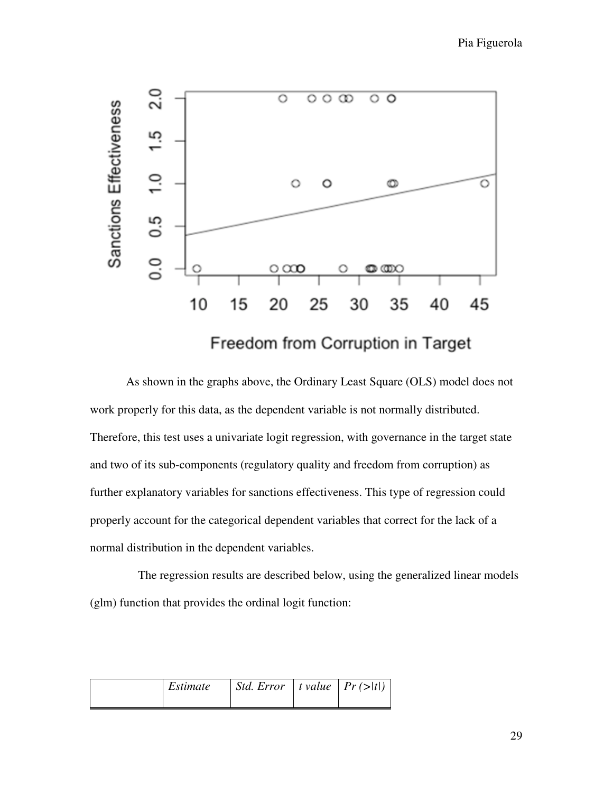

As shown in the graphs above, the Ordinary Least Square (OLS) model does not work properly for this data, as the dependent variable is not normally distributed. Therefore, this test uses a univariate logit regression, with governance in the target state and two of its sub-components (regulatory quality and freedom from corruption) as further explanatory variables for sanctions effectiveness. This type of regression could properly account for the categorical dependent variables that correct for the lack of a normal distribution in the dependent variables.

 The regression results are described below, using the generalized linear models (glm) function that provides the ordinal logit function:

| Estimate | $\vert$ <i>Std. Error</i> $\vert$ <i>t</i> value $\vert$ <i>Pr</i> (>  <i>t</i>  ) |  |
|----------|------------------------------------------------------------------------------------|--|
|          |                                                                                    |  |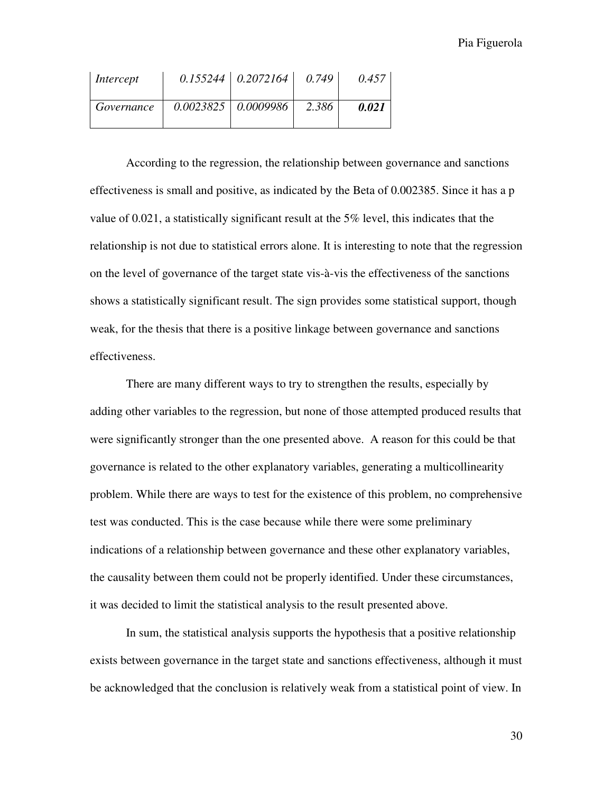| Intercept  | $0.155244 \mid 0.2072164 \mid$ | 0.749 | 0.457 |
|------------|--------------------------------|-------|-------|
| Governance | $0.0023825$ 0.0009986          | 2.386 | 0.021 |

According to the regression, the relationship between governance and sanctions effectiveness is small and positive, as indicated by the Beta of 0.002385. Since it has a p value of 0.021, a statistically significant result at the 5% level, this indicates that the relationship is not due to statistical errors alone. It is interesting to note that the regression on the level of governance of the target state vis-à-vis the effectiveness of the sanctions shows a statistically significant result. The sign provides some statistical support, though weak, for the thesis that there is a positive linkage between governance and sanctions effectiveness.

There are many different ways to try to strengthen the results, especially by adding other variables to the regression, but none of those attempted produced results that were significantly stronger than the one presented above. A reason for this could be that governance is related to the other explanatory variables, generating a multicollinearity problem. While there are ways to test for the existence of this problem, no comprehensive test was conducted. This is the case because while there were some preliminary indications of a relationship between governance and these other explanatory variables, the causality between them could not be properly identified. Under these circumstances, it was decided to limit the statistical analysis to the result presented above.

In sum, the statistical analysis supports the hypothesis that a positive relationship exists between governance in the target state and sanctions effectiveness, although it must be acknowledged that the conclusion is relatively weak from a statistical point of view. In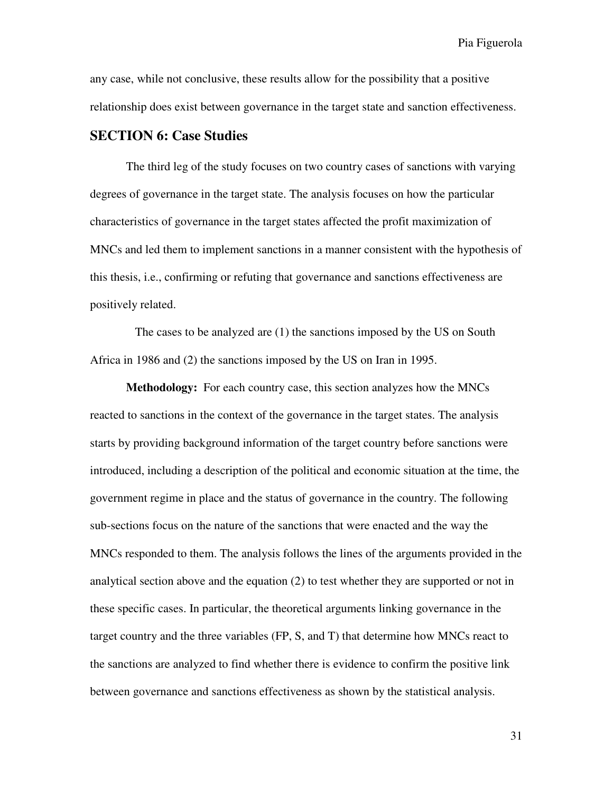any case, while not conclusive, these results allow for the possibility that a positive relationship does exist between governance in the target state and sanction effectiveness.

#### **SECTION 6: Case Studies**

The third leg of the study focuses on two country cases of sanctions with varying degrees of governance in the target state. The analysis focuses on how the particular characteristics of governance in the target states affected the profit maximization of MNCs and led them to implement sanctions in a manner consistent with the hypothesis of this thesis, i.e., confirming or refuting that governance and sanctions effectiveness are positively related.

 The cases to be analyzed are (1) the sanctions imposed by the US on South Africa in 1986 and (2) the sanctions imposed by the US on Iran in 1995.

**Methodology:** For each country case, this section analyzes how the MNCs reacted to sanctions in the context of the governance in the target states. The analysis starts by providing background information of the target country before sanctions were introduced, including a description of the political and economic situation at the time, the government regime in place and the status of governance in the country. The following sub-sections focus on the nature of the sanctions that were enacted and the way the MNCs responded to them. The analysis follows the lines of the arguments provided in the analytical section above and the equation (2) to test whether they are supported or not in these specific cases. In particular, the theoretical arguments linking governance in the target country and the three variables (FP, S, and T) that determine how MNCs react to the sanctions are analyzed to find whether there is evidence to confirm the positive link between governance and sanctions effectiveness as shown by the statistical analysis.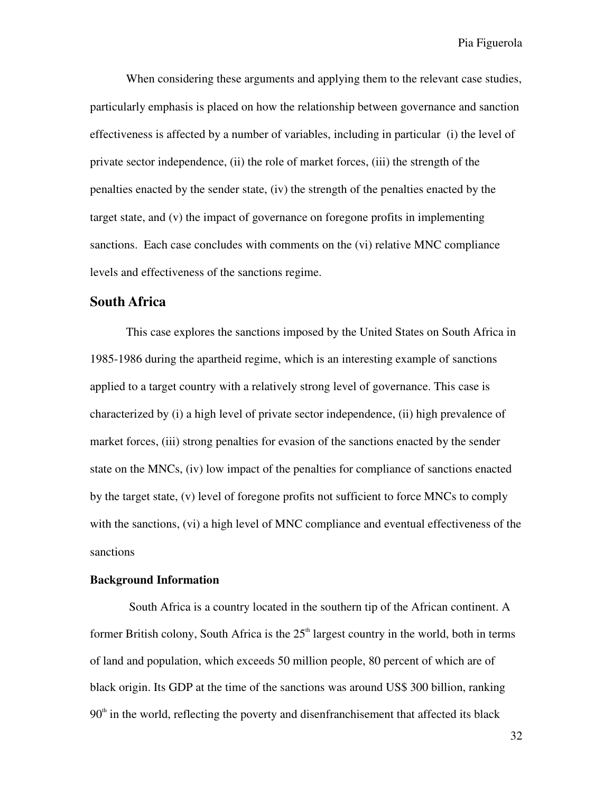When considering these arguments and applying them to the relevant case studies, particularly emphasis is placed on how the relationship between governance and sanction effectiveness is affected by a number of variables, including in particular (i) the level of private sector independence, (ii) the role of market forces, (iii) the strength of the penalties enacted by the sender state, (iv) the strength of the penalties enacted by the target state, and (v) the impact of governance on foregone profits in implementing sanctions. Each case concludes with comments on the (vi) relative MNC compliance levels and effectiveness of the sanctions regime.

#### **South Africa**

 This case explores the sanctions imposed by the United States on South Africa in 1985-1986 during the apartheid regime, which is an interesting example of sanctions applied to a target country with a relatively strong level of governance. This case is characterized by (i) a high level of private sector independence, (ii) high prevalence of market forces, (iii) strong penalties for evasion of the sanctions enacted by the sender state on the MNCs, (iv) low impact of the penalties for compliance of sanctions enacted by the target state, (v) level of foregone profits not sufficient to force MNCs to comply with the sanctions, (vi) a high level of MNC compliance and eventual effectiveness of the sanctions

#### **Background Information**

 South Africa is a country located in the southern tip of the African continent. A former British colony, South Africa is the  $25<sup>th</sup>$  largest country in the world, both in terms of land and population, which exceeds 50 million people, 80 percent of which are of black origin. Its GDP at the time of the sanctions was around US\$ 300 billion, ranking  $90<sup>th</sup>$  in the world, reflecting the poverty and disenfranchisement that affected its black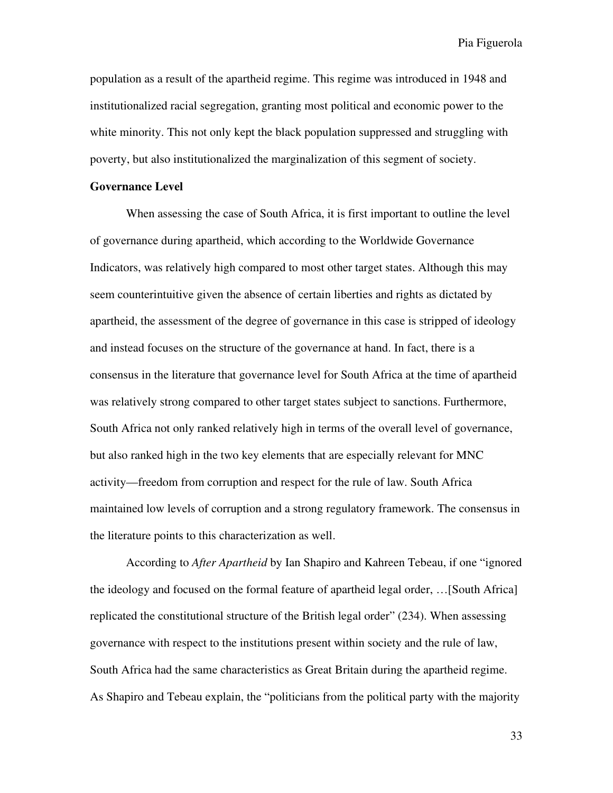population as a result of the apartheid regime. This regime was introduced in 1948 and institutionalized racial segregation, granting most political and economic power to the white minority. This not only kept the black population suppressed and struggling with poverty, but also institutionalized the marginalization of this segment of society.

#### **Governance Level**

 When assessing the case of South Africa, it is first important to outline the level of governance during apartheid, which according to the Worldwide Governance Indicators, was relatively high compared to most other target states. Although this may seem counterintuitive given the absence of certain liberties and rights as dictated by apartheid, the assessment of the degree of governance in this case is stripped of ideology and instead focuses on the structure of the governance at hand. In fact, there is a consensus in the literature that governance level for South Africa at the time of apartheid was relatively strong compared to other target states subject to sanctions. Furthermore, South Africa not only ranked relatively high in terms of the overall level of governance, but also ranked high in the two key elements that are especially relevant for MNC activity—freedom from corruption and respect for the rule of law. South Africa maintained low levels of corruption and a strong regulatory framework. The consensus in the literature points to this characterization as well.

 According to *After Apartheid* by Ian Shapiro and Kahreen Tebeau, if one "ignored the ideology and focused on the formal feature of apartheid legal order, …[South Africa] replicated the constitutional structure of the British legal order" (234). When assessing governance with respect to the institutions present within society and the rule of law, South Africa had the same characteristics as Great Britain during the apartheid regime. As Shapiro and Tebeau explain, the "politicians from the political party with the majority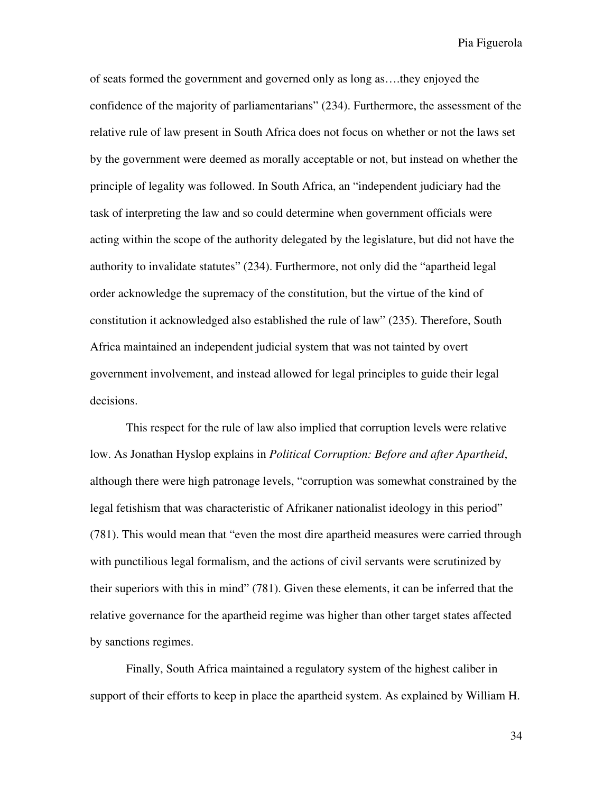of seats formed the government and governed only as long as….they enjoyed the confidence of the majority of parliamentarians" (234). Furthermore, the assessment of the relative rule of law present in South Africa does not focus on whether or not the laws set by the government were deemed as morally acceptable or not, but instead on whether the principle of legality was followed. In South Africa, an "independent judiciary had the task of interpreting the law and so could determine when government officials were acting within the scope of the authority delegated by the legislature, but did not have the authority to invalidate statutes" (234). Furthermore, not only did the "apartheid legal order acknowledge the supremacy of the constitution, but the virtue of the kind of constitution it acknowledged also established the rule of law" (235). Therefore, South Africa maintained an independent judicial system that was not tainted by overt government involvement, and instead allowed for legal principles to guide their legal decisions.

 This respect for the rule of law also implied that corruption levels were relative low. As Jonathan Hyslop explains in *Political Corruption: Before and after Apartheid*, although there were high patronage levels, "corruption was somewhat constrained by the legal fetishism that was characteristic of Afrikaner nationalist ideology in this period" (781). This would mean that "even the most dire apartheid measures were carried through with punctilious legal formalism, and the actions of civil servants were scrutinized by their superiors with this in mind" (781). Given these elements, it can be inferred that the relative governance for the apartheid regime was higher than other target states affected by sanctions regimes.

 Finally, South Africa maintained a regulatory system of the highest caliber in support of their efforts to keep in place the apartheid system. As explained by William H.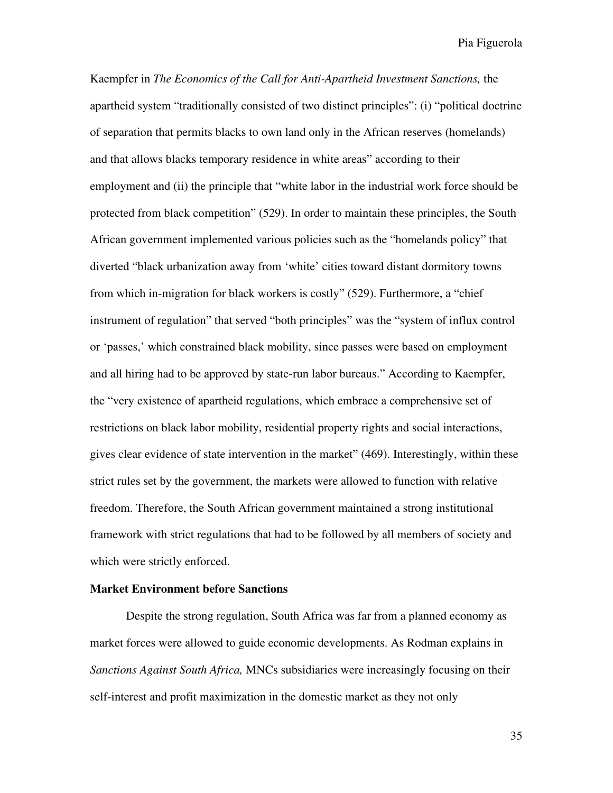Kaempfer in *The Economics of the Call for Anti-Apartheid Investment Sanctions,* the apartheid system "traditionally consisted of two distinct principles": (i) "political doctrine of separation that permits blacks to own land only in the African reserves (homelands) and that allows blacks temporary residence in white areas" according to their employment and (ii) the principle that "white labor in the industrial work force should be protected from black competition" (529). In order to maintain these principles, the South African government implemented various policies such as the "homelands policy" that diverted "black urbanization away from 'white' cities toward distant dormitory towns from which in-migration for black workers is costly" (529). Furthermore, a "chief instrument of regulation" that served "both principles" was the "system of influx control or 'passes,' which constrained black mobility, since passes were based on employment and all hiring had to be approved by state-run labor bureaus." According to Kaempfer, the "very existence of apartheid regulations, which embrace a comprehensive set of restrictions on black labor mobility, residential property rights and social interactions, gives clear evidence of state intervention in the market" (469). Interestingly, within these strict rules set by the government, the markets were allowed to function with relative freedom. Therefore, the South African government maintained a strong institutional framework with strict regulations that had to be followed by all members of society and which were strictly enforced.

#### **Market Environment before Sanctions**

Despite the strong regulation, South Africa was far from a planned economy as market forces were allowed to guide economic developments. As Rodman explains in *Sanctions Against South Africa,* MNCs subsidiaries were increasingly focusing on their self-interest and profit maximization in the domestic market as they not only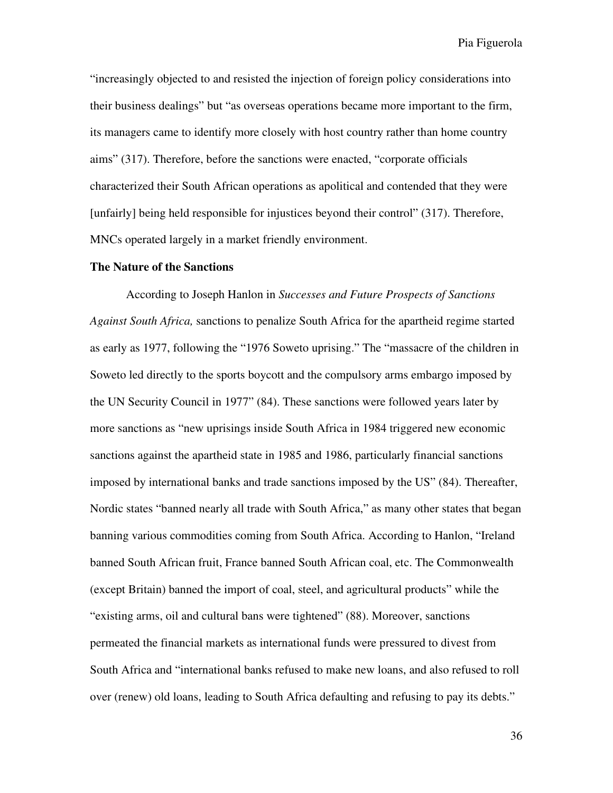"increasingly objected to and resisted the injection of foreign policy considerations into their business dealings" but "as overseas operations became more important to the firm, its managers came to identify more closely with host country rather than home country aims" (317). Therefore, before the sanctions were enacted, "corporate officials characterized their South African operations as apolitical and contended that they were [unfairly] being held responsible for injustices beyond their control" (317). Therefore, MNCs operated largely in a market friendly environment.

#### **The Nature of the Sanctions**

According to Joseph Hanlon in *Successes and Future Prospects of Sanctions Against South Africa,* sanctions to penalize South Africa for the apartheid regime started as early as 1977, following the "1976 Soweto uprising." The "massacre of the children in Soweto led directly to the sports boycott and the compulsory arms embargo imposed by the UN Security Council in 1977" (84). These sanctions were followed years later by more sanctions as "new uprisings inside South Africa in 1984 triggered new economic sanctions against the apartheid state in 1985 and 1986, particularly financial sanctions imposed by international banks and trade sanctions imposed by the US" (84). Thereafter, Nordic states "banned nearly all trade with South Africa," as many other states that began banning various commodities coming from South Africa. According to Hanlon, "Ireland banned South African fruit, France banned South African coal, etc. The Commonwealth (except Britain) banned the import of coal, steel, and agricultural products" while the "existing arms, oil and cultural bans were tightened" (88). Moreover, sanctions permeated the financial markets as international funds were pressured to divest from South Africa and "international banks refused to make new loans, and also refused to roll over (renew) old loans, leading to South Africa defaulting and refusing to pay its debts."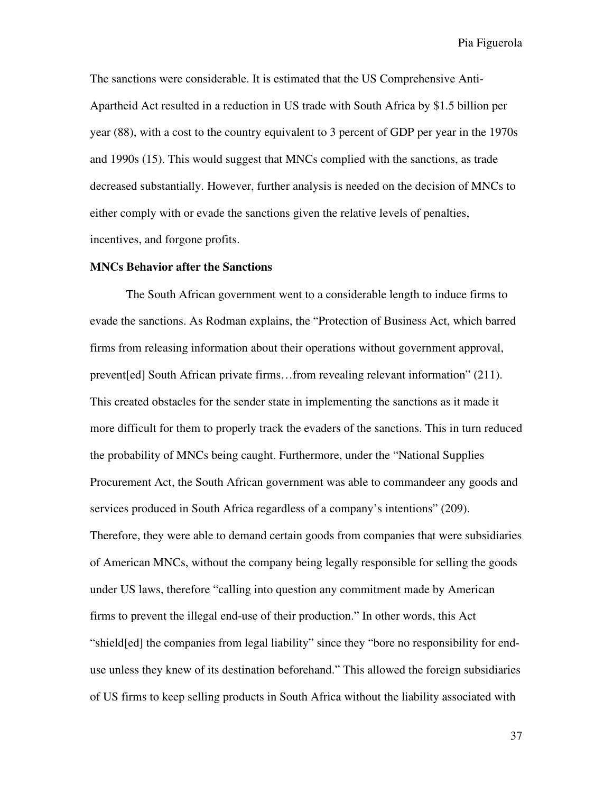The sanctions were considerable. It is estimated that the US Comprehensive Anti-Apartheid Act resulted in a reduction in US trade with South Africa by \$1.5 billion per year (88), with a cost to the country equivalent to 3 percent of GDP per year in the 1970s and 1990s (15). This would suggest that MNCs complied with the sanctions, as trade decreased substantially. However, further analysis is needed on the decision of MNCs to either comply with or evade the sanctions given the relative levels of penalties, incentives, and forgone profits.

#### **MNCs Behavior after the Sanctions**

The South African government went to a considerable length to induce firms to evade the sanctions. As Rodman explains, the "Protection of Business Act, which barred firms from releasing information about their operations without government approval, prevent[ed] South African private firms…from revealing relevant information" (211). This created obstacles for the sender state in implementing the sanctions as it made it more difficult for them to properly track the evaders of the sanctions. This in turn reduced the probability of MNCs being caught. Furthermore, under the "National Supplies Procurement Act, the South African government was able to commandeer any goods and services produced in South Africa regardless of a company's intentions" (209). Therefore, they were able to demand certain goods from companies that were subsidiaries of American MNCs, without the company being legally responsible for selling the goods under US laws, therefore "calling into question any commitment made by American firms to prevent the illegal end-use of their production." In other words, this Act "shield[ed] the companies from legal liability" since they "bore no responsibility for enduse unless they knew of its destination beforehand." This allowed the foreign subsidiaries of US firms to keep selling products in South Africa without the liability associated with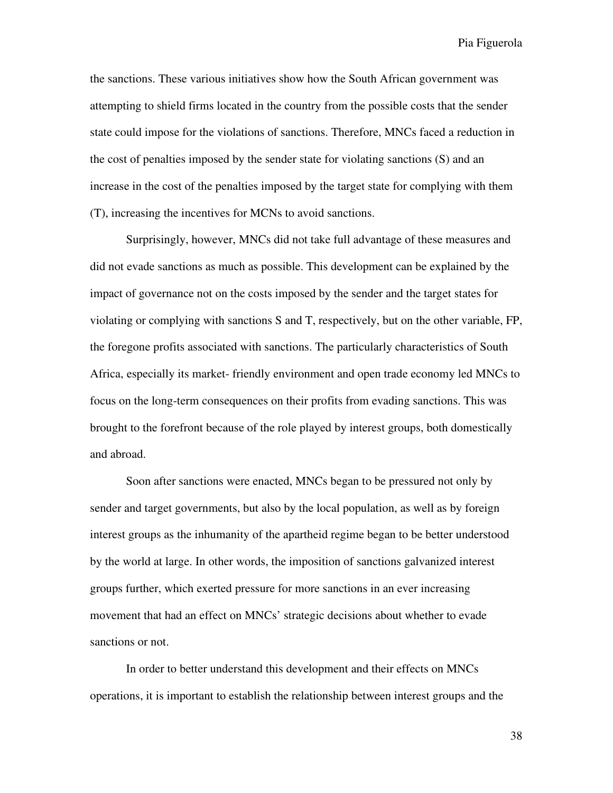the sanctions. These various initiatives show how the South African government was attempting to shield firms located in the country from the possible costs that the sender state could impose for the violations of sanctions. Therefore, MNCs faced a reduction in the cost of penalties imposed by the sender state for violating sanctions (S) and an increase in the cost of the penalties imposed by the target state for complying with them (T), increasing the incentives for MCNs to avoid sanctions.

Surprisingly, however, MNCs did not take full advantage of these measures and did not evade sanctions as much as possible. This development can be explained by the impact of governance not on the costs imposed by the sender and the target states for violating or complying with sanctions S and T, respectively, but on the other variable, FP, the foregone profits associated with sanctions. The particularly characteristics of South Africa, especially its market- friendly environment and open trade economy led MNCs to focus on the long-term consequences on their profits from evading sanctions. This was brought to the forefront because of the role played by interest groups, both domestically and abroad.

Soon after sanctions were enacted, MNCs began to be pressured not only by sender and target governments, but also by the local population, as well as by foreign interest groups as the inhumanity of the apartheid regime began to be better understood by the world at large. In other words, the imposition of sanctions galvanized interest groups further, which exerted pressure for more sanctions in an ever increasing movement that had an effect on MNCs' strategic decisions about whether to evade sanctions or not.

In order to better understand this development and their effects on MNCs operations, it is important to establish the relationship between interest groups and the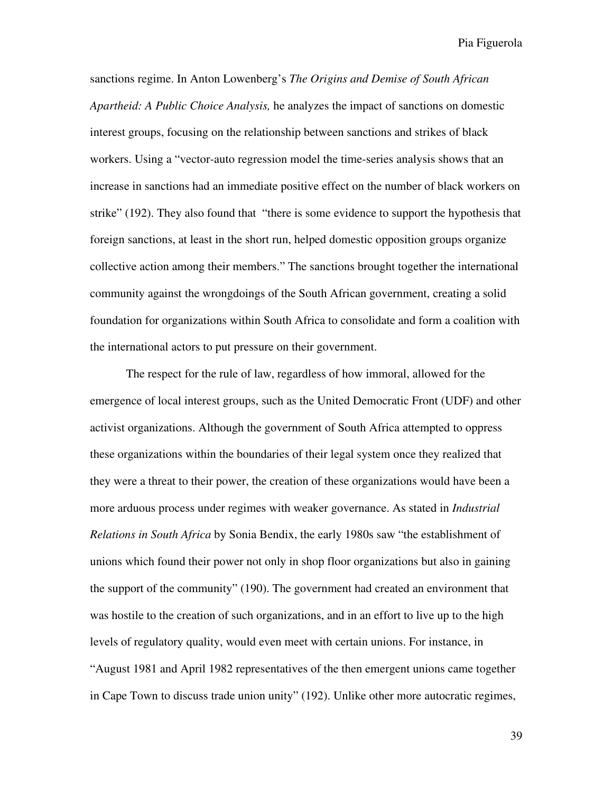sanctions regime. In Anton Lowenberg's *The Origins and Demise of South African Apartheid: A Public Choice Analysis,* he analyzes the impact of sanctions on domestic interest groups, focusing on the relationship between sanctions and strikes of black workers. Using a "vector-auto regression model the time-series analysis shows that an increase in sanctions had an immediate positive effect on the number of black workers on strike" (192). They also found that "there is some evidence to support the hypothesis that foreign sanctions, at least in the short run, helped domestic opposition groups organize collective action among their members." The sanctions brought together the international community against the wrongdoings of the South African government, creating a solid foundation for organizations within South Africa to consolidate and form a coalition with the international actors to put pressure on their government.

The respect for the rule of law, regardless of how immoral, allowed for the emergence of local interest groups, such as the United Democratic Front (UDF) and other activist organizations. Although the government of South Africa attempted to oppress these organizations within the boundaries of their legal system once they realized that they were a threat to their power, the creation of these organizations would have been a more arduous process under regimes with weaker governance. As stated in *Industrial Relations in South Africa* by Sonia Bendix, the early 1980s saw "the establishment of unions which found their power not only in shop floor organizations but also in gaining the support of the community" (190). The government had created an environment that was hostile to the creation of such organizations, and in an effort to live up to the high levels of regulatory quality, would even meet with certain unions. For instance, in "August 1981 and April 1982 representatives of the then emergent unions came together in Cape Town to discuss trade union unity" (192). Unlike other more autocratic regimes,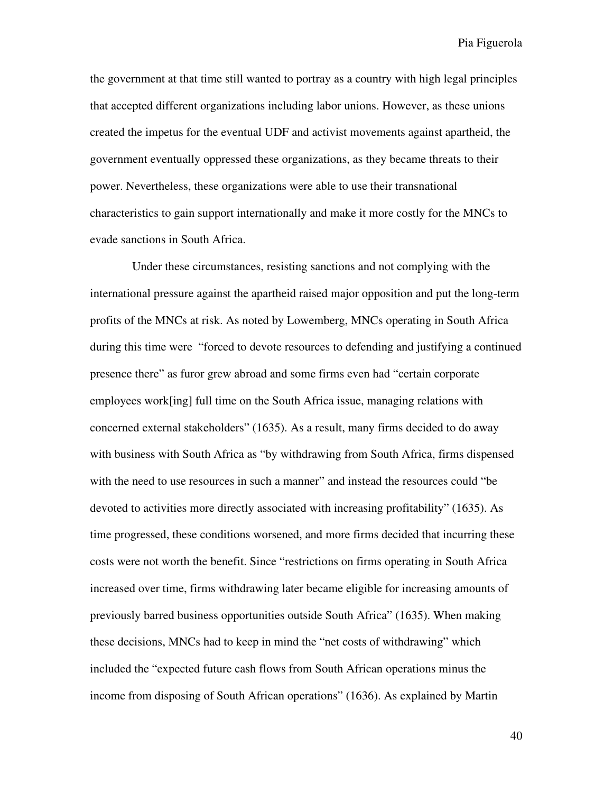the government at that time still wanted to portray as a country with high legal principles that accepted different organizations including labor unions. However, as these unions created the impetus for the eventual UDF and activist movements against apartheid, the government eventually oppressed these organizations, as they became threats to their power. Nevertheless, these organizations were able to use their transnational characteristics to gain support internationally and make it more costly for the MNCs to evade sanctions in South Africa.

 Under these circumstances, resisting sanctions and not complying with the international pressure against the apartheid raised major opposition and put the long-term profits of the MNCs at risk. As noted by Lowemberg, MNCs operating in South Africa during this time were "forced to devote resources to defending and justifying a continued presence there" as furor grew abroad and some firms even had "certain corporate employees work[ing] full time on the South Africa issue, managing relations with concerned external stakeholders" (1635). As a result, many firms decided to do away with business with South Africa as "by withdrawing from South Africa, firms dispensed with the need to use resources in such a manner" and instead the resources could "be devoted to activities more directly associated with increasing profitability" (1635). As time progressed, these conditions worsened, and more firms decided that incurring these costs were not worth the benefit. Since "restrictions on firms operating in South Africa increased over time, firms withdrawing later became eligible for increasing amounts of previously barred business opportunities outside South Africa" (1635). When making these decisions, MNCs had to keep in mind the "net costs of withdrawing" which included the "expected future cash flows from South African operations minus the income from disposing of South African operations" (1636). As explained by Martin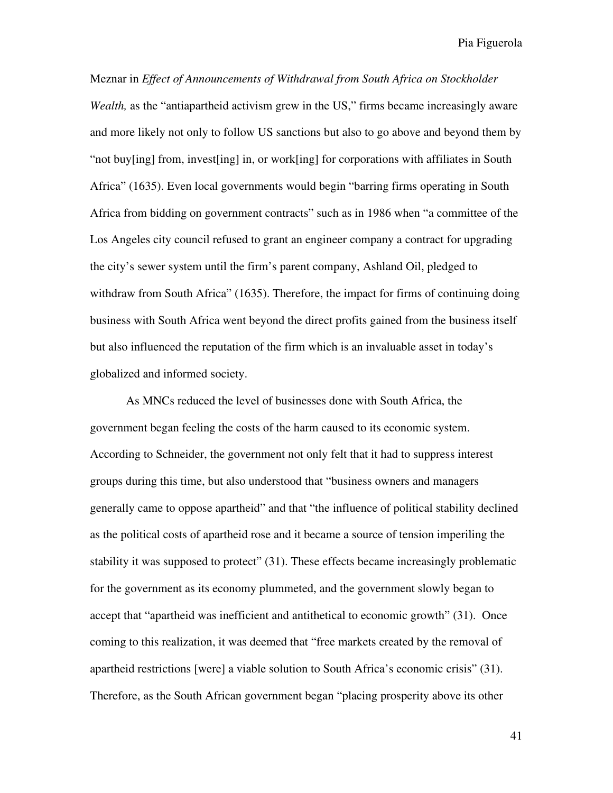Meznar in *Effect of Announcements of Withdrawal from South Africa on Stockholder Wealth*, as the "antiapartheid activism grew in the US," firms became increasingly aware and more likely not only to follow US sanctions but also to go above and beyond them by "not buy[ing] from, invest[ing] in, or work[ing] for corporations with affiliates in South Africa" (1635). Even local governments would begin "barring firms operating in South Africa from bidding on government contracts" such as in 1986 when "a committee of the Los Angeles city council refused to grant an engineer company a contract for upgrading the city's sewer system until the firm's parent company, Ashland Oil, pledged to withdraw from South Africa" (1635). Therefore, the impact for firms of continuing doing business with South Africa went beyond the direct profits gained from the business itself but also influenced the reputation of the firm which is an invaluable asset in today's globalized and informed society.

As MNCs reduced the level of businesses done with South Africa, the government began feeling the costs of the harm caused to its economic system. According to Schneider, the government not only felt that it had to suppress interest groups during this time, but also understood that "business owners and managers generally came to oppose apartheid" and that "the influence of political stability declined as the political costs of apartheid rose and it became a source of tension imperiling the stability it was supposed to protect" (31). These effects became increasingly problematic for the government as its economy plummeted, and the government slowly began to accept that "apartheid was inefficient and antithetical to economic growth" (31). Once coming to this realization, it was deemed that "free markets created by the removal of apartheid restrictions [were] a viable solution to South Africa's economic crisis" (31). Therefore, as the South African government began "placing prosperity above its other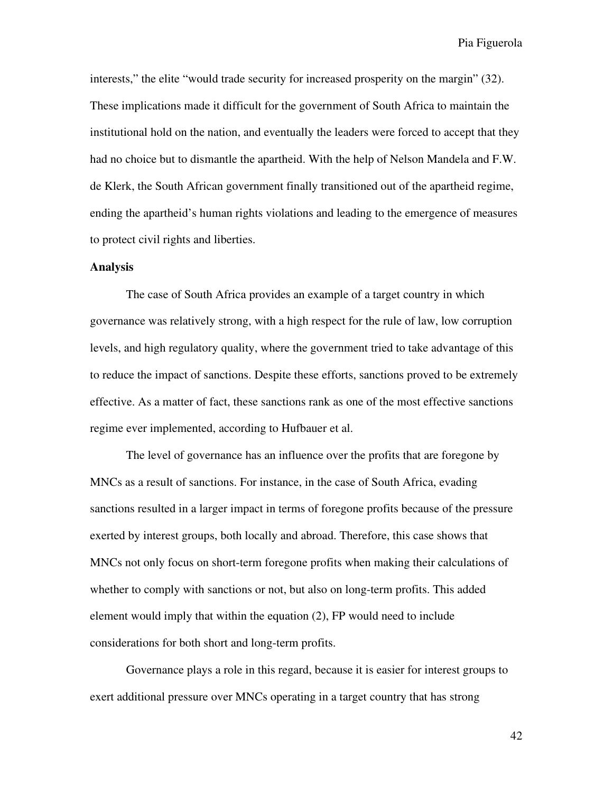interests," the elite "would trade security for increased prosperity on the margin" (32). These implications made it difficult for the government of South Africa to maintain the institutional hold on the nation, and eventually the leaders were forced to accept that they had no choice but to dismantle the apartheid. With the help of Nelson Mandela and F.W. de Klerk, the South African government finally transitioned out of the apartheid regime, ending the apartheid's human rights violations and leading to the emergence of measures to protect civil rights and liberties.

#### **Analysis**

The case of South Africa provides an example of a target country in which governance was relatively strong, with a high respect for the rule of law, low corruption levels, and high regulatory quality, where the government tried to take advantage of this to reduce the impact of sanctions. Despite these efforts, sanctions proved to be extremely effective. As a matter of fact, these sanctions rank as one of the most effective sanctions regime ever implemented, according to Hufbauer et al.

The level of governance has an influence over the profits that are foregone by MNCs as a result of sanctions. For instance, in the case of South Africa, evading sanctions resulted in a larger impact in terms of foregone profits because of the pressure exerted by interest groups, both locally and abroad. Therefore, this case shows that MNCs not only focus on short-term foregone profits when making their calculations of whether to comply with sanctions or not, but also on long-term profits. This added element would imply that within the equation (2), FP would need to include considerations for both short and long-term profits.

Governance plays a role in this regard, because it is easier for interest groups to exert additional pressure over MNCs operating in a target country that has strong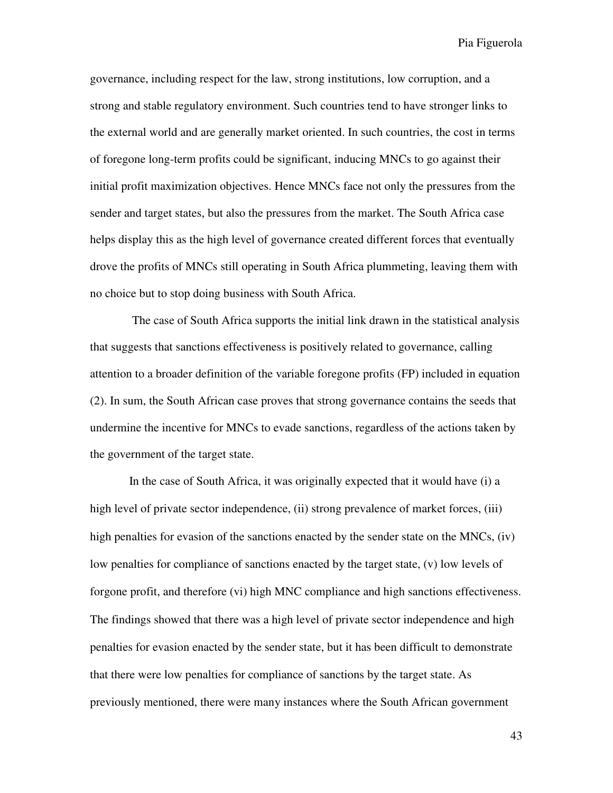governance, including respect for the law, strong institutions, low corruption, and a strong and stable regulatory environment. Such countries tend to have stronger links to the external world and are generally market oriented. In such countries, the cost in terms of foregone long-term profits could be significant, inducing MNCs to go against their initial profit maximization objectives. Hence MNCs face not only the pressures from the sender and target states, but also the pressures from the market. The South Africa case helps display this as the high level of governance created different forces that eventually drove the profits of MNCs still operating in South Africa plummeting, leaving them with no choice but to stop doing business with South Africa.

 The case of South Africa supports the initial link drawn in the statistical analysis that suggests that sanctions effectiveness is positively related to governance, calling attention to a broader definition of the variable foregone profits (FP) included in equation (2). In sum, the South African case proves that strong governance contains the seeds that undermine the incentive for MNCs to evade sanctions, regardless of the actions taken by the government of the target state.

 In the case of South Africa, it was originally expected that it would have (i) a high level of private sector independence, (ii) strong prevalence of market forces, (iii) high penalties for evasion of the sanctions enacted by the sender state on the MNCs, (iv) low penalties for compliance of sanctions enacted by the target state, (v) low levels of forgone profit, and therefore (vi) high MNC compliance and high sanctions effectiveness. The findings showed that there was a high level of private sector independence and high penalties for evasion enacted by the sender state, but it has been difficult to demonstrate that there were low penalties for compliance of sanctions by the target state. As previously mentioned, there were many instances where the South African government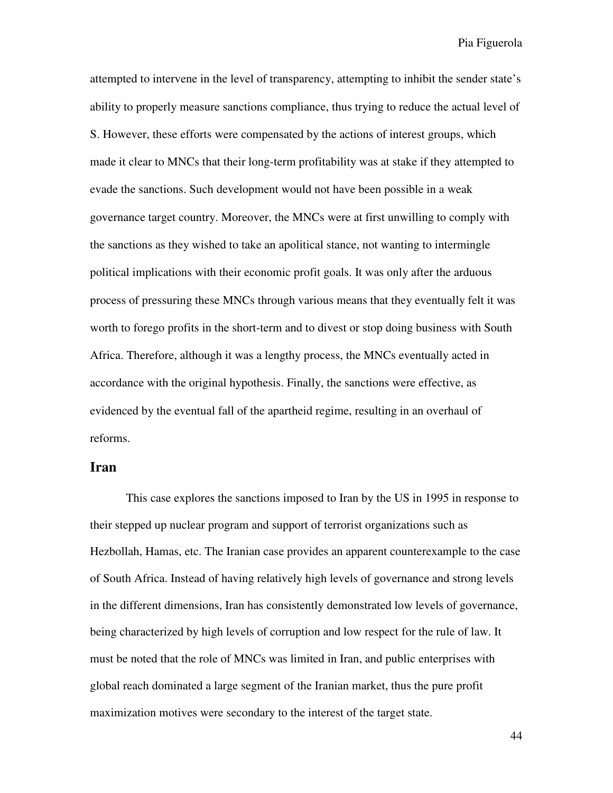attempted to intervene in the level of transparency, attempting to inhibit the sender state's ability to properly measure sanctions compliance, thus trying to reduce the actual level of S. However, these efforts were compensated by the actions of interest groups, which made it clear to MNCs that their long-term profitability was at stake if they attempted to evade the sanctions. Such development would not have been possible in a weak governance target country. Moreover, the MNCs were at first unwilling to comply with the sanctions as they wished to take an apolitical stance, not wanting to intermingle political implications with their economic profit goals. It was only after the arduous process of pressuring these MNCs through various means that they eventually felt it was worth to forego profits in the short-term and to divest or stop doing business with South Africa. Therefore, although it was a lengthy process, the MNCs eventually acted in accordance with the original hypothesis. Finally, the sanctions were effective, as evidenced by the eventual fall of the apartheid regime, resulting in an overhaul of reforms.

#### **Iran**

This case explores the sanctions imposed to Iran by the US in 1995 in response to their stepped up nuclear program and support of terrorist organizations such as Hezbollah, Hamas, etc. The Iranian case provides an apparent counterexample to the case of South Africa. Instead of having relatively high levels of governance and strong levels in the different dimensions, Iran has consistently demonstrated low levels of governance, being characterized by high levels of corruption and low respect for the rule of law. It must be noted that the role of MNCs was limited in Iran, and public enterprises with global reach dominated a large segment of the Iranian market, thus the pure profit maximization motives were secondary to the interest of the target state.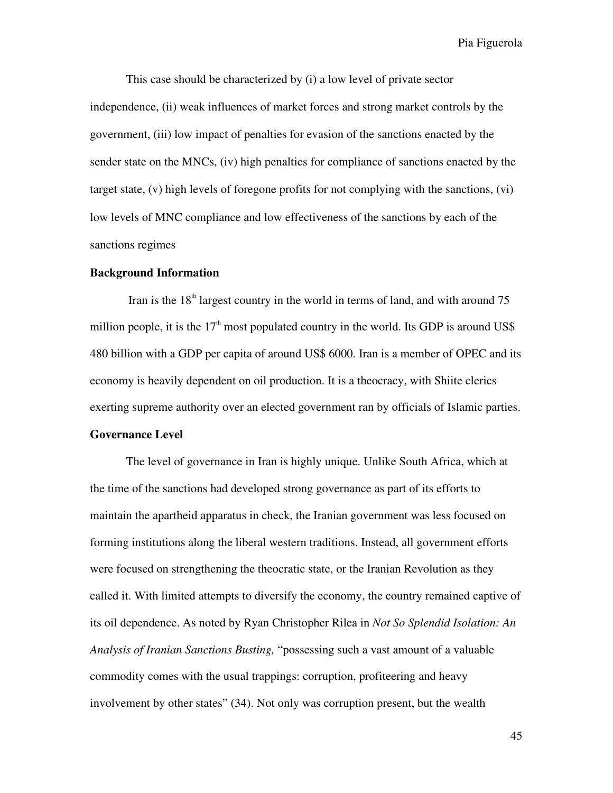This case should be characterized by (i) a low level of private sector independence, (ii) weak influences of market forces and strong market controls by the government, (iii) low impact of penalties for evasion of the sanctions enacted by the sender state on the MNCs, (iv) high penalties for compliance of sanctions enacted by the target state, (v) high levels of foregone profits for not complying with the sanctions, (vi) low levels of MNC compliance and low effectiveness of the sanctions by each of the sanctions regimes

#### **Background Information**

Iran is the  $18<sup>th</sup>$  largest country in the world in terms of land, and with around 75 million people, it is the  $17<sup>th</sup>$  most populated country in the world. Its GDP is around US\$ 480 billion with a GDP per capita of around US\$ 6000. Iran is a member of OPEC and its economy is heavily dependent on oil production. It is a theocracy, with Shiite clerics exerting supreme authority over an elected government ran by officials of Islamic parties.

#### **Governance Level**

 The level of governance in Iran is highly unique. Unlike South Africa, which at the time of the sanctions had developed strong governance as part of its efforts to maintain the apartheid apparatus in check, the Iranian government was less focused on forming institutions along the liberal western traditions. Instead, all government efforts were focused on strengthening the theocratic state, or the Iranian Revolution as they called it. With limited attempts to diversify the economy, the country remained captive of its oil dependence. As noted by Ryan Christopher Rilea in *Not So Splendid Isolation: An Analysis of Iranian Sanctions Busting,* "possessing such a vast amount of a valuable commodity comes with the usual trappings: corruption, profiteering and heavy involvement by other states" (34). Not only was corruption present, but the wealth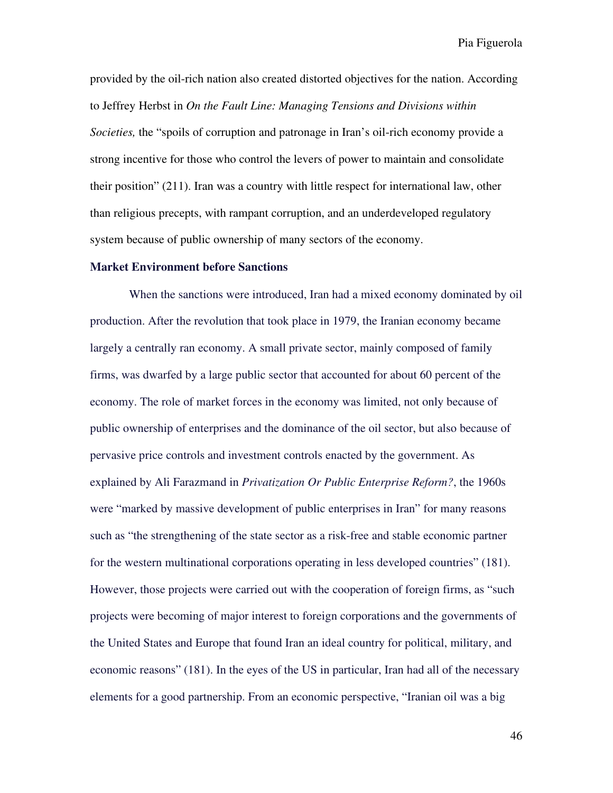provided by the oil-rich nation also created distorted objectives for the nation. According to Jeffrey Herbst in *On the Fault Line: Managing Tensions and Divisions within Societies,* the "spoils of corruption and patronage in Iran's oil-rich economy provide a strong incentive for those who control the levers of power to maintain and consolidate their position" (211). Iran was a country with little respect for international law, other than religious precepts, with rampant corruption, and an underdeveloped regulatory system because of public ownership of many sectors of the economy.

#### **Market Environment before Sanctions**

 When the sanctions were introduced, Iran had a mixed economy dominated by oil production. After the revolution that took place in 1979, the Iranian economy became largely a centrally ran economy. A small private sector, mainly composed of family firms, was dwarfed by a large public sector that accounted for about 60 percent of the economy. The role of market forces in the economy was limited, not only because of public ownership of enterprises and the dominance of the oil sector, but also because of pervasive price controls and investment controls enacted by the government. As explained by Ali Farazmand in *Privatization Or Public Enterprise Reform?*, the 1960s were "marked by massive development of public enterprises in Iran" for many reasons such as "the strengthening of the state sector as a risk-free and stable economic partner for the western multinational corporations operating in less developed countries" (181). However, those projects were carried out with the cooperation of foreign firms, as "such projects were becoming of major interest to foreign corporations and the governments of the United States and Europe that found Iran an ideal country for political, military, and economic reasons" (181). In the eyes of the US in particular, Iran had all of the necessary elements for a good partnership. From an economic perspective, "Iranian oil was a big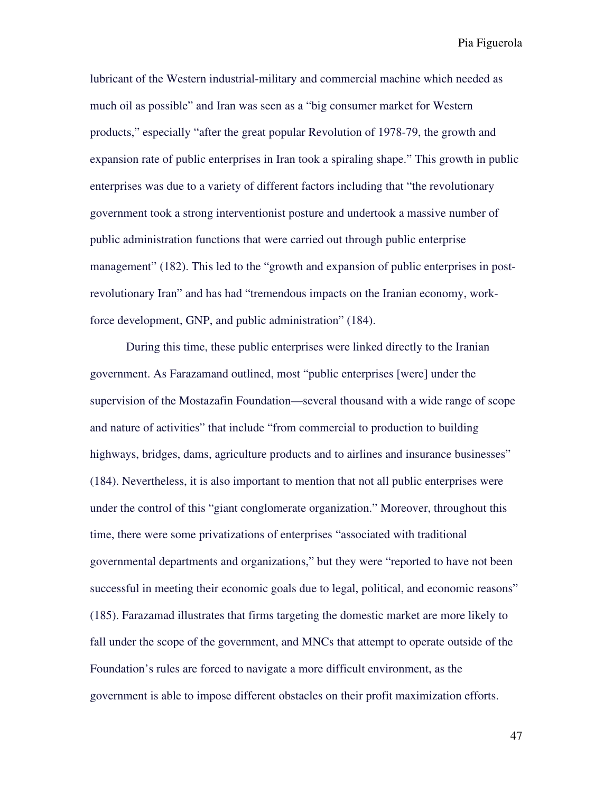lubricant of the Western industrial-military and commercial machine which needed as much oil as possible" and Iran was seen as a "big consumer market for Western products," especially "after the great popular Revolution of 1978-79, the growth and expansion rate of public enterprises in Iran took a spiraling shape." This growth in public enterprises was due to a variety of different factors including that "the revolutionary government took a strong interventionist posture and undertook a massive number of public administration functions that were carried out through public enterprise management" (182). This led to the "growth and expansion of public enterprises in postrevolutionary Iran" and has had "tremendous impacts on the Iranian economy, workforce development, GNP, and public administration" (184).

During this time, these public enterprises were linked directly to the Iranian government. As Farazamand outlined, most "public enterprises [were] under the supervision of the Mostazafin Foundation—several thousand with a wide range of scope and nature of activities" that include "from commercial to production to building highways, bridges, dams, agriculture products and to airlines and insurance businesses" (184). Nevertheless, it is also important to mention that not all public enterprises were under the control of this "giant conglomerate organization." Moreover, throughout this time, there were some privatizations of enterprises "associated with traditional governmental departments and organizations," but they were "reported to have not been successful in meeting their economic goals due to legal, political, and economic reasons" (185). Farazamad illustrates that firms targeting the domestic market are more likely to fall under the scope of the government, and MNCs that attempt to operate outside of the Foundation's rules are forced to navigate a more difficult environment, as the government is able to impose different obstacles on their profit maximization efforts.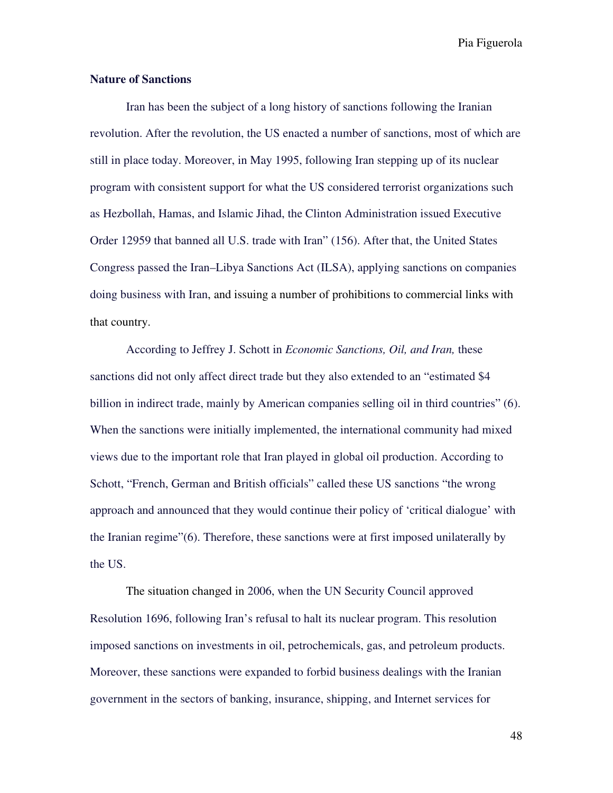#### **Nature of Sanctions**

Iran has been the subject of a long history of sanctions following the Iranian revolution. After the revolution, the US enacted a number of sanctions, most of which are still in place today. Moreover, in May 1995, following Iran stepping up of its nuclear program with consistent support for what the US considered terrorist organizations such as Hezbollah, Hamas, and Islamic Jihad, the Clinton Administration issued Executive Order 12959 that banned all U.S. trade with Iran" (156). After that, the United States Congress passed the Iran–Libya Sanctions Act (ILSA), applying sanctions on companies doing business with Iran, and issuing a number of prohibitions to commercial links with that country.

According to Jeffrey J. Schott in *Economic Sanctions, Oil, and Iran,* these sanctions did not only affect direct trade but they also extended to an "estimated \$4 billion in indirect trade, mainly by American companies selling oil in third countries" (6). When the sanctions were initially implemented, the international community had mixed views due to the important role that Iran played in global oil production. According to Schott, "French, German and British officials" called these US sanctions "the wrong approach and announced that they would continue their policy of 'critical dialogue' with the Iranian regime"(6). Therefore, these sanctions were at first imposed unilaterally by the US.

The situation changed in 2006, when the UN Security Council approved Resolution 1696, following Iran's refusal to halt its nuclear program. This resolution imposed sanctions on investments in oil, petrochemicals, gas, and petroleum products. Moreover, these sanctions were expanded to forbid business dealings with the Iranian government in the sectors of banking, insurance, shipping, and Internet services for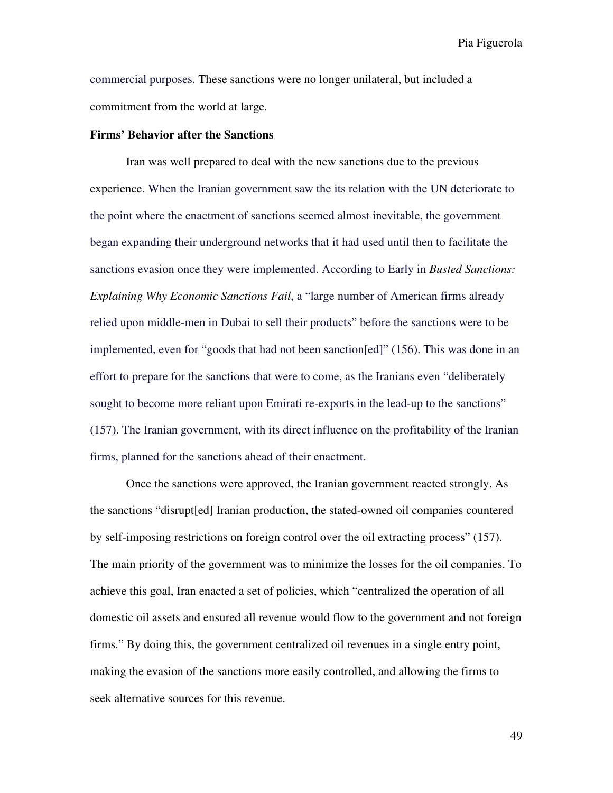commercial purposes. These sanctions were no longer unilateral, but included a commitment from the world at large.

#### **Firms' Behavior after the Sanctions**

Iran was well prepared to deal with the new sanctions due to the previous experience. When the Iranian government saw the its relation with the UN deteriorate to the point where the enactment of sanctions seemed almost inevitable, the government began expanding their underground networks that it had used until then to facilitate the sanctions evasion once they were implemented. According to Early in *Busted Sanctions: Explaining Why Economic Sanctions Fail*, a "large number of American firms already relied upon middle-men in Dubai to sell their products" before the sanctions were to be implemented, even for "goods that had not been sanction[ed]" (156). This was done in an effort to prepare for the sanctions that were to come, as the Iranians even "deliberately sought to become more reliant upon Emirati re-exports in the lead-up to the sanctions" (157). The Iranian government, with its direct influence on the profitability of the Iranian firms, planned for the sanctions ahead of their enactment.

Once the sanctions were approved, the Iranian government reacted strongly. As the sanctions "disrupt[ed] Iranian production, the stated-owned oil companies countered by self-imposing restrictions on foreign control over the oil extracting process" (157). The main priority of the government was to minimize the losses for the oil companies. To achieve this goal, Iran enacted a set of policies, which "centralized the operation of all domestic oil assets and ensured all revenue would flow to the government and not foreign firms." By doing this, the government centralized oil revenues in a single entry point, making the evasion of the sanctions more easily controlled, and allowing the firms to seek alternative sources for this revenue.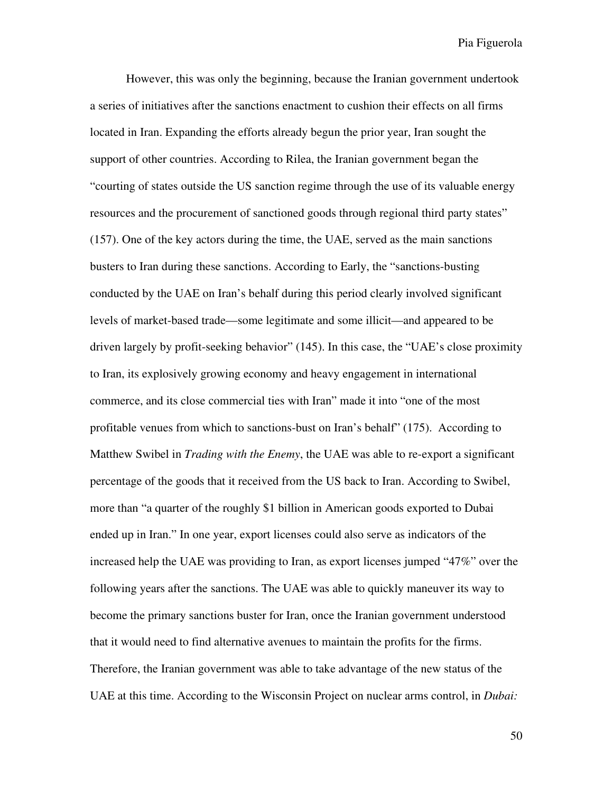However, this was only the beginning, because the Iranian government undertook a series of initiatives after the sanctions enactment to cushion their effects on all firms located in Iran. Expanding the efforts already begun the prior year, Iran sought the support of other countries. According to Rilea, the Iranian government began the "courting of states outside the US sanction regime through the use of its valuable energy resources and the procurement of sanctioned goods through regional third party states" (157). One of the key actors during the time, the UAE, served as the main sanctions busters to Iran during these sanctions. According to Early, the "sanctions-busting conducted by the UAE on Iran's behalf during this period clearly involved significant levels of market-based trade—some legitimate and some illicit—and appeared to be driven largely by profit-seeking behavior" (145). In this case, the "UAE's close proximity to Iran, its explosively growing economy and heavy engagement in international commerce, and its close commercial ties with Iran" made it into "one of the most profitable venues from which to sanctions-bust on Iran's behalf" (175). According to Matthew Swibel in *Trading with the Enemy*, the UAE was able to re-export a significant percentage of the goods that it received from the US back to Iran. According to Swibel, more than "a quarter of the roughly \$1 billion in American goods exported to Dubai ended up in Iran." In one year, export licenses could also serve as indicators of the increased help the UAE was providing to Iran, as export licenses jumped "47%" over the following years after the sanctions. The UAE was able to quickly maneuver its way to become the primary sanctions buster for Iran, once the Iranian government understood that it would need to find alternative avenues to maintain the profits for the firms. Therefore, the Iranian government was able to take advantage of the new status of the UAE at this time. According to the Wisconsin Project on nuclear arms control, in *Dubai:*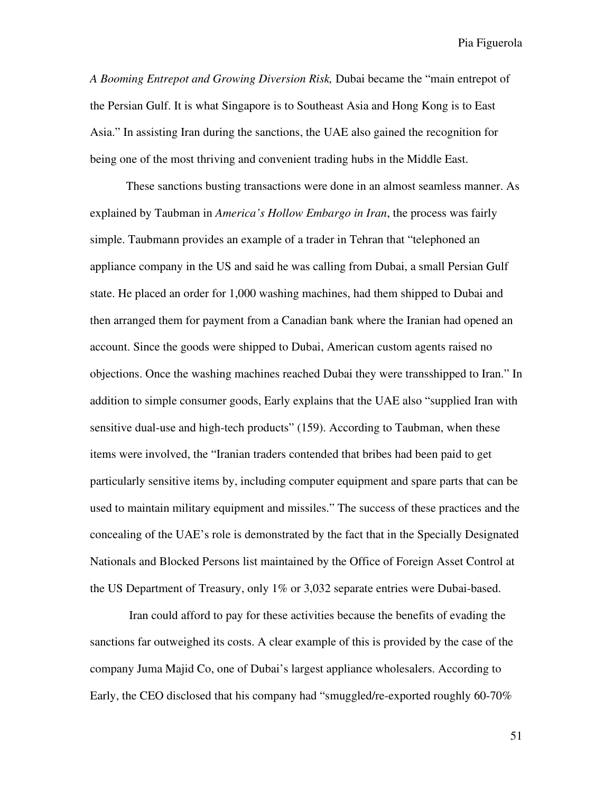*A Booming Entrepot and Growing Diversion Risk,* Dubai became the "main entrepot of the Persian Gulf. It is what Singapore is to Southeast Asia and Hong Kong is to East Asia." In assisting Iran during the sanctions, the UAE also gained the recognition for being one of the most thriving and convenient trading hubs in the Middle East.

These sanctions busting transactions were done in an almost seamless manner. As explained by Taubman in *America's Hollow Embargo in Iran*, the process was fairly simple. Taubmann provides an example of a trader in Tehran that "telephoned an appliance company in the US and said he was calling from Dubai, a small Persian Gulf state. He placed an order for 1,000 washing machines, had them shipped to Dubai and then arranged them for payment from a Canadian bank where the Iranian had opened an account. Since the goods were shipped to Dubai, American custom agents raised no objections. Once the washing machines reached Dubai they were transshipped to Iran." In addition to simple consumer goods, Early explains that the UAE also "supplied Iran with sensitive dual-use and high-tech products" (159). According to Taubman, when these items were involved, the "Iranian traders contended that bribes had been paid to get particularly sensitive items by, including computer equipment and spare parts that can be used to maintain military equipment and missiles." The success of these practices and the concealing of the UAE's role is demonstrated by the fact that in the Specially Designated Nationals and Blocked Persons list maintained by the Office of Foreign Asset Control at the US Department of Treasury, only 1% or 3,032 separate entries were Dubai-based.

 Iran could afford to pay for these activities because the benefits of evading the sanctions far outweighed its costs. A clear example of this is provided by the case of the company Juma Majid Co, one of Dubai's largest appliance wholesalers. According to Early, the CEO disclosed that his company had "smuggled/re-exported roughly 60-70%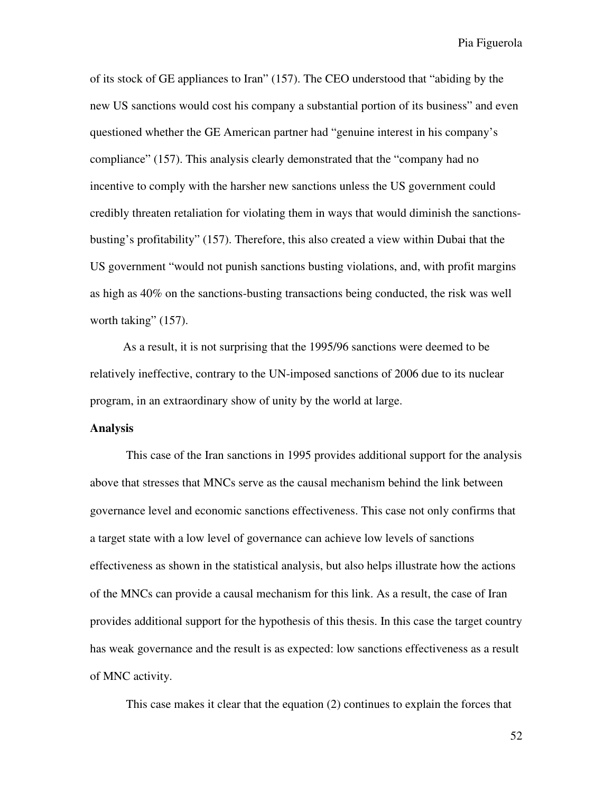of its stock of GE appliances to Iran" (157). The CEO understood that "abiding by the new US sanctions would cost his company a substantial portion of its business" and even questioned whether the GE American partner had "genuine interest in his company's compliance" (157). This analysis clearly demonstrated that the "company had no incentive to comply with the harsher new sanctions unless the US government could credibly threaten retaliation for violating them in ways that would diminish the sanctionsbusting's profitability" (157). Therefore, this also created a view within Dubai that the US government "would not punish sanctions busting violations, and, with profit margins as high as 40% on the sanctions-busting transactions being conducted, the risk was well worth taking"  $(157)$ .

 As a result, it is not surprising that the 1995/96 sanctions were deemed to be relatively ineffective, contrary to the UN-imposed sanctions of 2006 due to its nuclear program, in an extraordinary show of unity by the world at large.

#### **Analysis**

This case of the Iran sanctions in 1995 provides additional support for the analysis above that stresses that MNCs serve as the causal mechanism behind the link between governance level and economic sanctions effectiveness. This case not only confirms that a target state with a low level of governance can achieve low levels of sanctions effectiveness as shown in the statistical analysis, but also helps illustrate how the actions of the MNCs can provide a causal mechanism for this link. As a result, the case of Iran provides additional support for the hypothesis of this thesis. In this case the target country has weak governance and the result is as expected: low sanctions effectiveness as a result of MNC activity.

This case makes it clear that the equation (2) continues to explain the forces that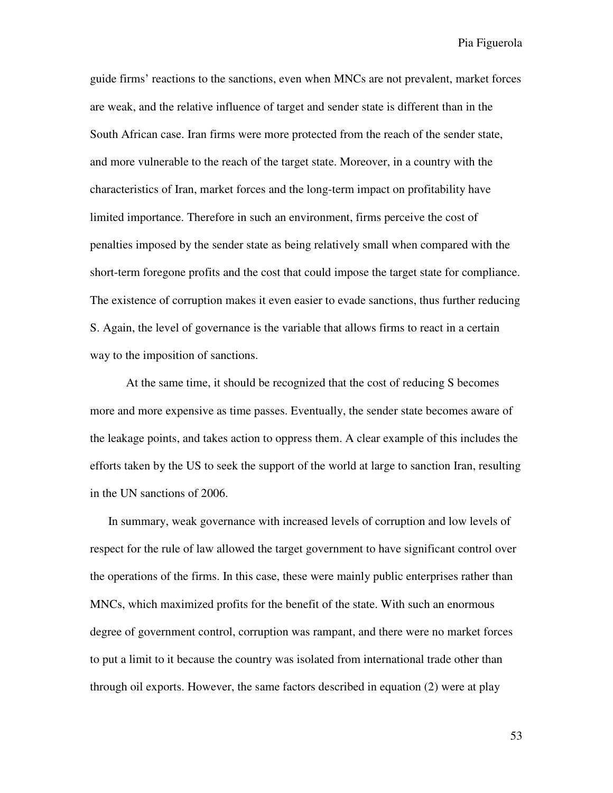guide firms' reactions to the sanctions, even when MNCs are not prevalent, market forces are weak, and the relative influence of target and sender state is different than in the South African case. Iran firms were more protected from the reach of the sender state, and more vulnerable to the reach of the target state. Moreover, in a country with the characteristics of Iran, market forces and the long-term impact on profitability have limited importance. Therefore in such an environment, firms perceive the cost of penalties imposed by the sender state as being relatively small when compared with the short-term foregone profits and the cost that could impose the target state for compliance. The existence of corruption makes it even easier to evade sanctions, thus further reducing S. Again, the level of governance is the variable that allows firms to react in a certain way to the imposition of sanctions.

At the same time, it should be recognized that the cost of reducing S becomes more and more expensive as time passes. Eventually, the sender state becomes aware of the leakage points, and takes action to oppress them. A clear example of this includes the efforts taken by the US to seek the support of the world at large to sanction Iran, resulting in the UN sanctions of 2006.

 In summary, weak governance with increased levels of corruption and low levels of respect for the rule of law allowed the target government to have significant control over the operations of the firms. In this case, these were mainly public enterprises rather than MNCs, which maximized profits for the benefit of the state. With such an enormous degree of government control, corruption was rampant, and there were no market forces to put a limit to it because the country was isolated from international trade other than through oil exports. However, the same factors described in equation (2) were at play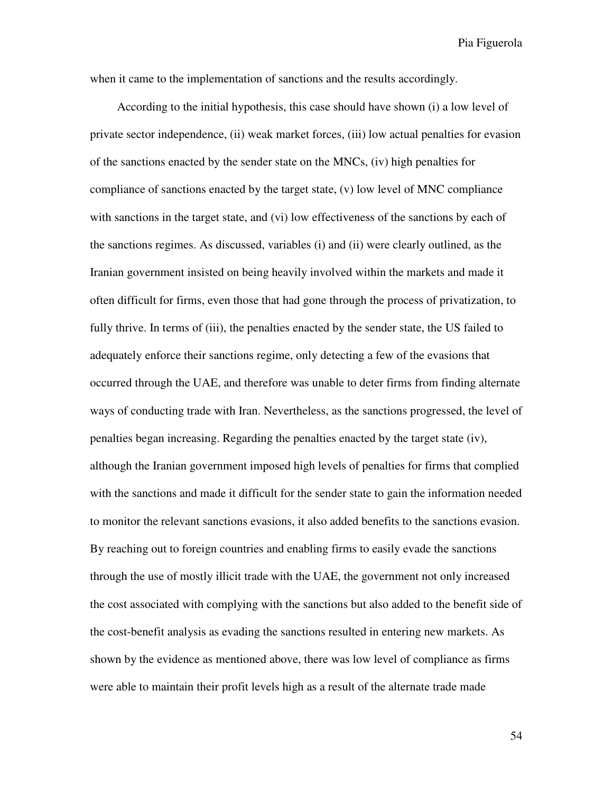when it came to the implementation of sanctions and the results accordingly.

According to the initial hypothesis, this case should have shown (i) a low level of private sector independence, (ii) weak market forces, (iii) low actual penalties for evasion of the sanctions enacted by the sender state on the MNCs, (iv) high penalties for compliance of sanctions enacted by the target state, (v) low level of MNC compliance with sanctions in the target state, and (vi) low effectiveness of the sanctions by each of the sanctions regimes. As discussed, variables (i) and (ii) were clearly outlined, as the Iranian government insisted on being heavily involved within the markets and made it often difficult for firms, even those that had gone through the process of privatization, to fully thrive. In terms of (iii), the penalties enacted by the sender state, the US failed to adequately enforce their sanctions regime, only detecting a few of the evasions that occurred through the UAE, and therefore was unable to deter firms from finding alternate ways of conducting trade with Iran. Nevertheless, as the sanctions progressed, the level of penalties began increasing. Regarding the penalties enacted by the target state (iv), although the Iranian government imposed high levels of penalties for firms that complied with the sanctions and made it difficult for the sender state to gain the information needed to monitor the relevant sanctions evasions, it also added benefits to the sanctions evasion. By reaching out to foreign countries and enabling firms to easily evade the sanctions through the use of mostly illicit trade with the UAE, the government not only increased the cost associated with complying with the sanctions but also added to the benefit side of the cost-benefit analysis as evading the sanctions resulted in entering new markets. As shown by the evidence as mentioned above, there was low level of compliance as firms were able to maintain their profit levels high as a result of the alternate trade made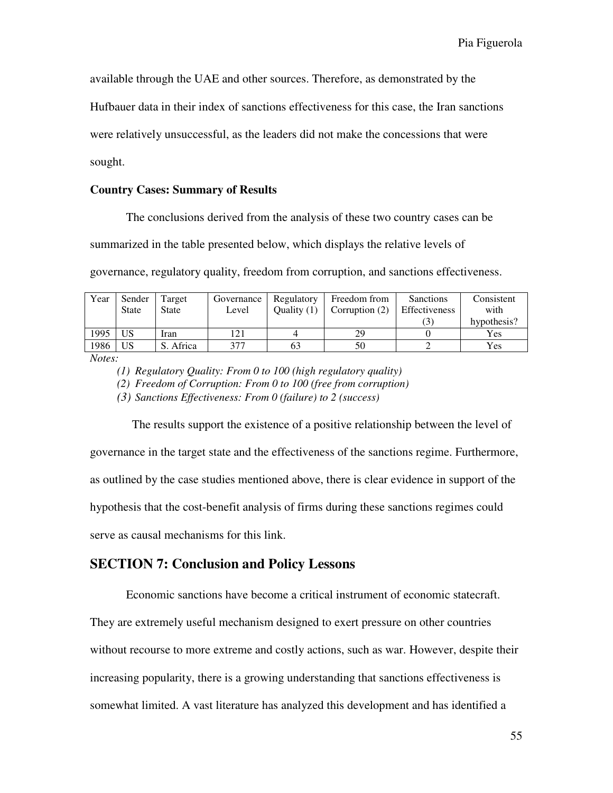available through the UAE and other sources. Therefore, as demonstrated by the

Hufbauer data in their index of sanctions effectiveness for this case, the Iran sanctions

were relatively unsuccessful, as the leaders did not make the concessions that were

#### sought.

#### **Country Cases: Summary of Results**

The conclusions derived from the analysis of these two country cases can be

summarized in the table presented below, which displays the relative levels of

governance, regulatory quality, freedom from corruption, and sanctions effectiveness.

| Year | Sender          | Target    | Governance | Regulatory    | Freedom from     | Sanctions     | Consistent  |
|------|-----------------|-----------|------------|---------------|------------------|---------------|-------------|
|      | <b>State</b>    | State     | Level      | Ouality $(1)$ | Corruption $(2)$ | Effectiveness | with        |
|      |                 |           |            |               |                  |               | hypothesis? |
| 1995 | US <sup>-</sup> | Iran      | 121        |               | 29               |               | Yes         |
| 1986 | <b>US</b>       | S. Africa | 377        | 63            | 50               |               | <b>Yes</b>  |

*Notes:* 

*(2) Freedom of Corruption: From 0 to 100 (free from corruption)* 

*(3) Sanctions Effectiveness: From 0 (failure) to 2 (success)*

 The results support the existence of a positive relationship between the level of governance in the target state and the effectiveness of the sanctions regime. Furthermore, as outlined by the case studies mentioned above, there is clear evidence in support of the hypothesis that the cost-benefit analysis of firms during these sanctions regimes could serve as causal mechanisms for this link.

#### **SECTION 7: Conclusion and Policy Lessons**

Economic sanctions have become a critical instrument of economic statecraft.

They are extremely useful mechanism designed to exert pressure on other countries

without recourse to more extreme and costly actions, such as war. However, despite their

increasing popularity, there is a growing understanding that sanctions effectiveness is

somewhat limited. A vast literature has analyzed this development and has identified a

*<sup>(1)</sup> Regulatory Quality: From 0 to 100 (high regulatory quality)*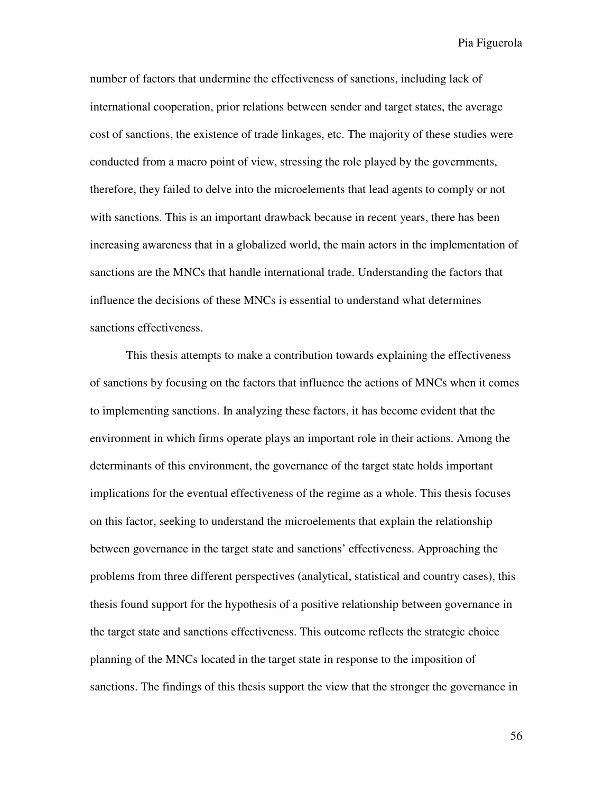number of factors that undermine the effectiveness of sanctions, including lack of international cooperation, prior relations between sender and target states, the average cost of sanctions, the existence of trade linkages, etc. The majority of these studies were conducted from a macro point of view, stressing the role played by the governments, therefore, they failed to delve into the microelements that lead agents to comply or not with sanctions. This is an important drawback because in recent years, there has been increasing awareness that in a globalized world, the main actors in the implementation of sanctions are the MNCs that handle international trade. Understanding the factors that influence the decisions of these MNCs is essential to understand what determines sanctions effectiveness.

This thesis attempts to make a contribution towards explaining the effectiveness of sanctions by focusing on the factors that influence the actions of MNCs when it comes to implementing sanctions. In analyzing these factors, it has become evident that the environment in which firms operate plays an important role in their actions. Among the determinants of this environment, the governance of the target state holds important implications for the eventual effectiveness of the regime as a whole. This thesis focuses on this factor, seeking to understand the microelements that explain the relationship between governance in the target state and sanctions' effectiveness. Approaching the problems from three different perspectives (analytical, statistical and country cases), this thesis found support for the hypothesis of a positive relationship between governance in the target state and sanctions effectiveness. This outcome reflects the strategic choice planning of the MNCs located in the target state in response to the imposition of sanctions. The findings of this thesis support the view that the stronger the governance in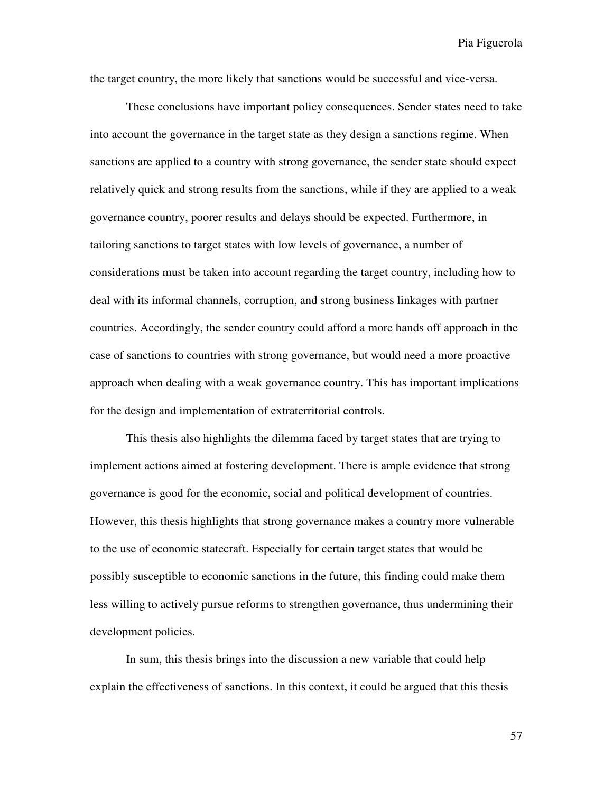the target country, the more likely that sanctions would be successful and vice-versa.

These conclusions have important policy consequences. Sender states need to take into account the governance in the target state as they design a sanctions regime. When sanctions are applied to a country with strong governance, the sender state should expect relatively quick and strong results from the sanctions, while if they are applied to a weak governance country, poorer results and delays should be expected. Furthermore, in tailoring sanctions to target states with low levels of governance, a number of considerations must be taken into account regarding the target country, including how to deal with its informal channels, corruption, and strong business linkages with partner countries. Accordingly, the sender country could afford a more hands off approach in the case of sanctions to countries with strong governance, but would need a more proactive approach when dealing with a weak governance country. This has important implications for the design and implementation of extraterritorial controls.

This thesis also highlights the dilemma faced by target states that are trying to implement actions aimed at fostering development. There is ample evidence that strong governance is good for the economic, social and political development of countries. However, this thesis highlights that strong governance makes a country more vulnerable to the use of economic statecraft. Especially for certain target states that would be possibly susceptible to economic sanctions in the future, this finding could make them less willing to actively pursue reforms to strengthen governance, thus undermining their development policies.

In sum, this thesis brings into the discussion a new variable that could help explain the effectiveness of sanctions. In this context, it could be argued that this thesis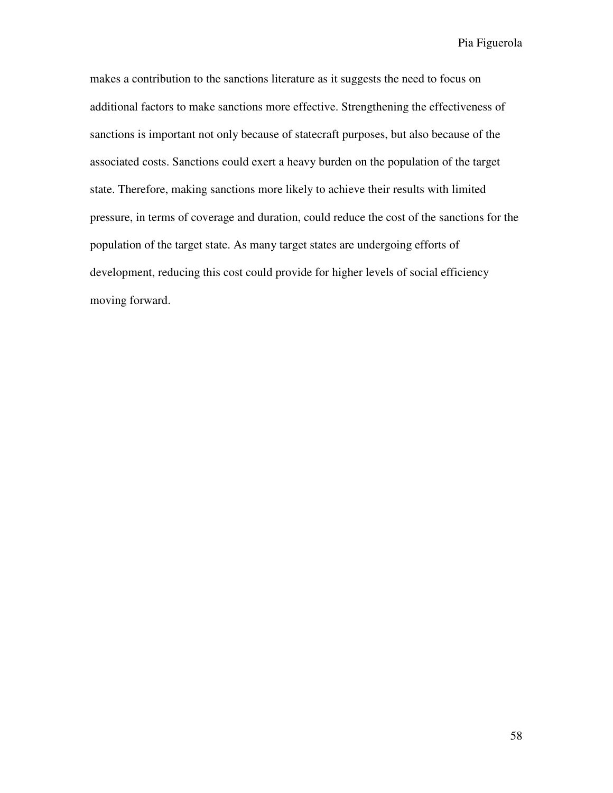makes a contribution to the sanctions literature as it suggests the need to focus on additional factors to make sanctions more effective. Strengthening the effectiveness of sanctions is important not only because of statecraft purposes, but also because of the associated costs. Sanctions could exert a heavy burden on the population of the target state. Therefore, making sanctions more likely to achieve their results with limited pressure, in terms of coverage and duration, could reduce the cost of the sanctions for the population of the target state. As many target states are undergoing efforts of development, reducing this cost could provide for higher levels of social efficiency moving forward.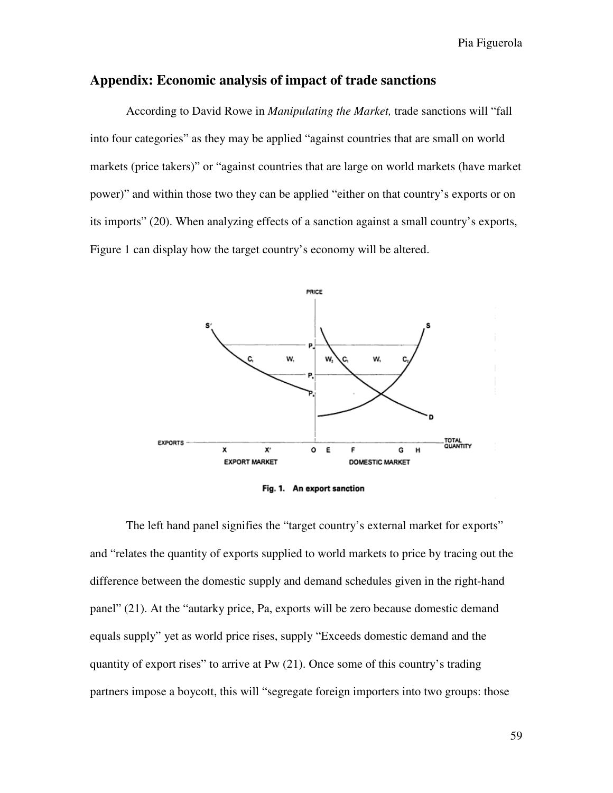#### **Appendix: Economic analysis of impact of trade sanctions**

According to David Rowe in *Manipulating the Market,* trade sanctions will "fall into four categories" as they may be applied "against countries that are small on world markets (price takers)" or "against countries that are large on world markets (have market power)" and within those two they can be applied "either on that country's exports or on its imports" (20). When analyzing effects of a sanction against a small country's exports, Figure 1 can display how the target country's economy will be altered.



Fig. 1. An export sanction

The left hand panel signifies the "target country's external market for exports" and "relates the quantity of exports supplied to world markets to price by tracing out the difference between the domestic supply and demand schedules given in the right-hand panel" (21). At the "autarky price, Pa, exports will be zero because domestic demand equals supply" yet as world price rises, supply "Exceeds domestic demand and the quantity of export rises" to arrive at Pw (21). Once some of this country's trading partners impose a boycott, this will "segregate foreign importers into two groups: those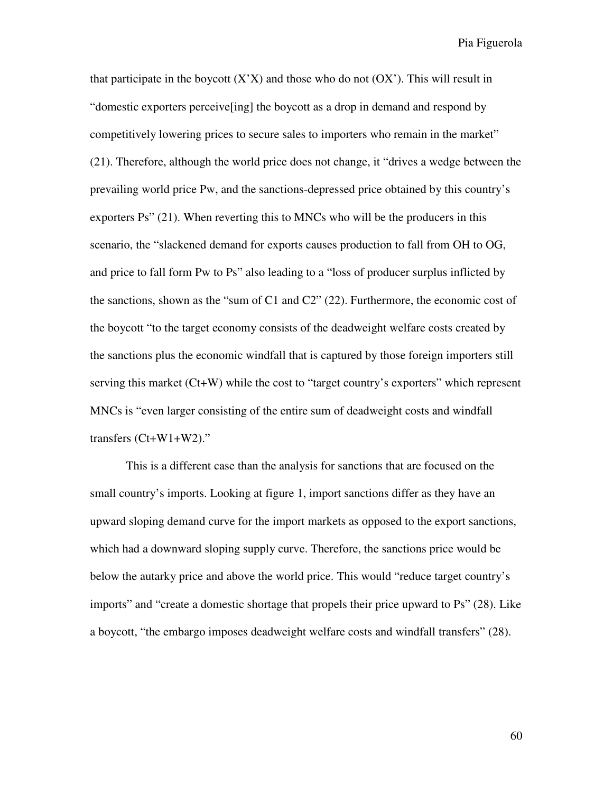that participate in the boycott  $(X'X)$  and those who do not  $(OX')$ . This will result in "domestic exporters perceive[ing] the boycott as a drop in demand and respond by competitively lowering prices to secure sales to importers who remain in the market" (21). Therefore, although the world price does not change, it "drives a wedge between the prevailing world price Pw, and the sanctions-depressed price obtained by this country's exporters Ps" (21). When reverting this to MNCs who will be the producers in this scenario, the "slackened demand for exports causes production to fall from OH to OG, and price to fall form Pw to Ps" also leading to a "loss of producer surplus inflicted by the sanctions, shown as the "sum of C1 and C2" (22). Furthermore, the economic cost of the boycott "to the target economy consists of the deadweight welfare costs created by the sanctions plus the economic windfall that is captured by those foreign importers still serving this market (Ct+W) while the cost to "target country's exporters" which represent MNCs is "even larger consisting of the entire sum of deadweight costs and windfall transfers (Ct+W1+W2)."

 This is a different case than the analysis for sanctions that are focused on the small country's imports. Looking at figure 1, import sanctions differ as they have an upward sloping demand curve for the import markets as opposed to the export sanctions, which had a downward sloping supply curve. Therefore, the sanctions price would be below the autarky price and above the world price. This would "reduce target country's imports" and "create a domestic shortage that propels their price upward to Ps" (28). Like a boycott, "the embargo imposes deadweight welfare costs and windfall transfers" (28).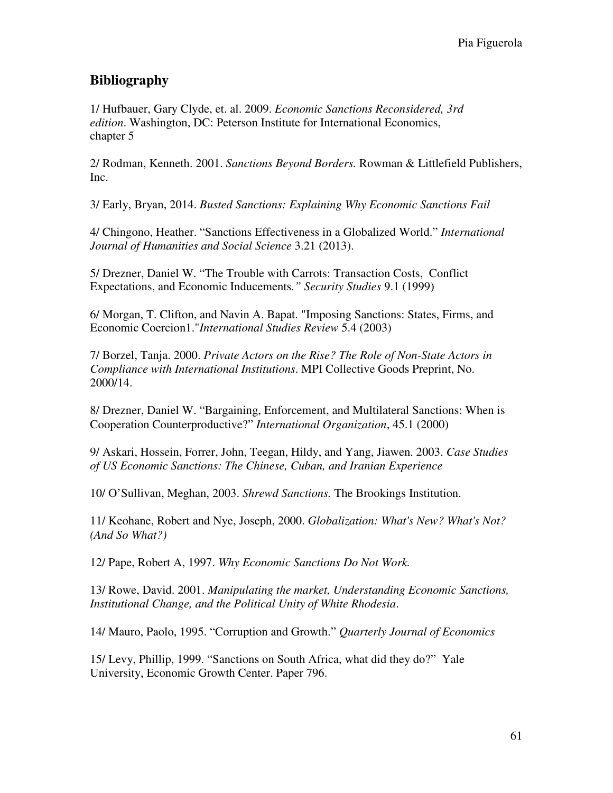## **Bibliography**

1/ Hufbauer, Gary Clyde, et. al. 2009. *Economic Sanctions Reconsidered, 3rd edition*. Washington, DC: Peterson Institute for International Economics, chapter 5

2/ Rodman, Kenneth. 2001. *Sanctions Beyond Borders.* Rowman & Littlefield Publishers, Inc.

3/ Early, Bryan, 2014. *Busted Sanctions: Explaining Why Economic Sanctions Fail* 

4/ Chingono, Heather. "Sanctions Effectiveness in a Globalized World." *International Journal of Humanities and Social Science* 3.21 (2013).

5/ Drezner, Daniel W. "The Trouble with Carrots: Transaction Costs, Conflict Expectations, and Economic Inducements*." Security Studies* 9.1 (1999)

6/ Morgan, T. Clifton, and Navin A. Bapat. "Imposing Sanctions: States, Firms, and Economic Coercion1."*International Studies Review* 5.4 (2003)

7/ Borzel, Tanja. 2000. *Private Actors on the Rise? The Role of Non-State Actors in Compliance with International Institutions*. MPI Collective Goods Preprint, No. 2000/14.

8/ Drezner, Daniel W. "Bargaining, Enforcement, and Multilateral Sanctions: When is Cooperation Counterproductive?" *International Organization*, 45.1 (2000)

9/ Askari, Hossein, Forrer, John, Teegan, Hildy, and Yang, Jiawen. 2003. *Case Studies of US Economic Sanctions: The Chinese, Cuban, and Iranian Experience*

10/ O'Sullivan, Meghan, 2003. *Shrewd Sanctions.* The Brookings Institution.

11/ Keohane, Robert and Nye, Joseph, 2000. *Globalization: What's New? What's Not? (And So What?)* 

12/ Pape, Robert A, 1997. *Why Economic Sanctions Do Not Work.*

13/ Rowe, David. 2001. *Manipulating the market, Understanding Economic Sanctions, Institutional Change, and the Political Unity of White Rhodesia*.

14/ Mauro, Paolo, 1995. "Corruption and Growth." *Quarterly Journal of Economics*

15/ Levy, Phillip, 1999. "Sanctions on South Africa, what did they do?" Yale University, Economic Growth Center. Paper 796.